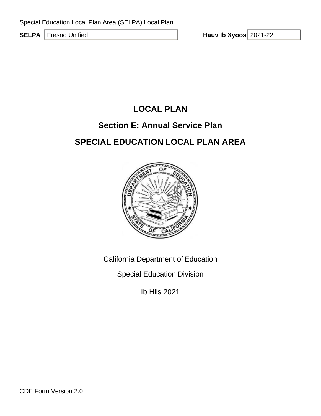**SELPA** Fresno Unified

Hauv Ib Xyoos 2021-22

# **LOCAL PLAN**

# **Section E: Annual Service Plan**

# **SPECIAL EDUCATION LOCAL PLAN AREA**



California Department of Education

Special Education Division

Ib Hlis 2021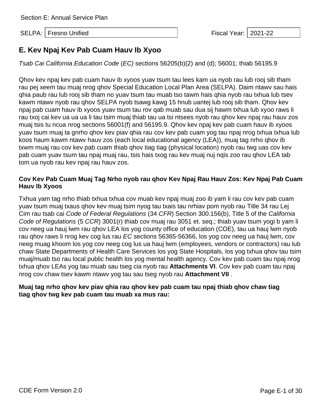# **E. Kev Npaj Kev Pab Cuam Hauv Ib Xyoo**

*Tsab Cai California Education Code* (*EC)* sections 56205(b)(2) and (d); 56001; thiab 56195.9

Qhov kev npaj kev pab cuam hauv ib xyoos yuav tsum tau lees kam ua nyob rau lub rooj sib tham rau pej xeem tau muaj nrog qhov Special Education Local Plan Area (SELPA). Daim ntawv sau hais qhia paub rau lub rooj sib tham no yuav tsum tau muab tso tawm hais qhia nyob rau txhua lub tsev kawm ntawv nyob rau qhov SELPA nyob tsawg kawg 15 hnub uantej lub rooj sib tham. Qhov kev npaj pab cuam hauv ib xyoos yuav tsum tau rov qab muab sau dua sij hawm txhua lub xyoo raws li rau txoj cai kev ua ua ua li tau tsim muaj thiab tau ua tsi ntsees nyob rau qhov kev npaj rau hauv zos muaj tsis tu ncua nrog sections 56001(f) and 56195.9. Qhov kev npaj kev pab cuam hauv ib xyoos yuav tsum muaj ta gnrho qhov kev piav qhia rau cov kev pab cuam yog tau npaj nrog txhua txhua lub koos haum kawm ntawv hauv zos (each local educational agency (LEA)), muaj tag nrho qhov ib txwm muaj rau cov kev pab cuam thiab qhov tiag tiag (physical location) nyob rau twg uas cov kev pab cuam yuav tsum tau npaj muaj rau, tsis hais txog rau kev muaj nuj nqis zoo rau qhov LEA tab tom ua nyob rau kev npaj rau hauv zos.

## **Cov Kev Pab Cuam Muaj Tag Nrho nyob rau qhov Kev Npaj Rau Hauv Zos: Kev Npaj Pab Cuam Hauv Ib Xyoos**

Txhua yam tag nrho thiab txhua txhua cov muab kev npaj muaj zoo ib yam li rau cov kev pab cuam yuav tsum muaj txaus qhov kev muaj tsim nyog tau txais tau nrhiav pom nyob rau Title 34 rau Lej Cim rau tsab cai *Code of Federal Regulations* (34 *CFR*) Section 300.156(b), Title 5 of the *California Code of Regulations* (5 *CCR*) 3001(r) thiab cov muaj rau 3051 et. seq.; thiab yuav tsum yogi b yam li cov neeg ua hauj lwm rau qhov LEA los yog county office of education (COE), tau ua hauj lwm nyob rau qhov raws li nrog kev cog lus rau *EC* sections 56365-56366, los yog cov neeg ua hauj lwm, cov neeg muag khoom los yog cov neeg cog lus ua hauj lwm (employees, vendors or contractors) rau lub chaw State Departments of Health Care Services los yog State Hospitals, los yog txhua qhov tau tsim muaj/muab tso rau local public health los yog mental health agency. Cov kev pab cuam tau npaj nrog txhua qhov LEAs yog tau muab sau tseg cia nyob rau **Attachments VI**. Cov kev pab cuam tau npaj nrog cov chaw tsev kawm ntawv yog tau sau tseg nyob rau **Attachment VII** .

## **Muaj tag nrho qhov kev piav qhia rau qhov kev pab cuam tau npaj thiab qhov chaw tiag tiag qhov twg kev pab cuam tau muab xa mus rau:**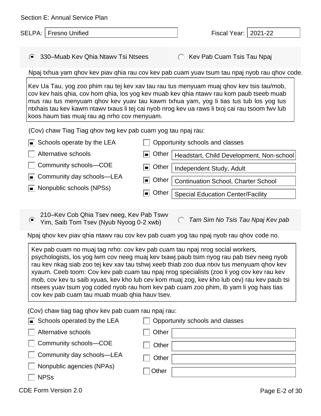|                                                                                                                                                                                                                                                                               | Section E: Annual Service Plan       |                            |  |
|-------------------------------------------------------------------------------------------------------------------------------------------------------------------------------------------------------------------------------------------------------------------------------|--------------------------------------|----------------------------|--|
|                                                                                                                                                                                                                                                                               | SELPA:   Fresno Unified              | Fiscal Year:   2021-22     |  |
|                                                                                                                                                                                                                                                                               | ◯ 330–Muab Kev Qhia Ntawy Tsi Ntsees | Kev Pab Cuam Tsis Tau Npaj |  |
| Npaj txhua yam ghov kev piav ghia rau cov kev pab cuam yuav tsum tau npaj nyob rau ghov code.                                                                                                                                                                                 |                                      |                            |  |
| Kev Ua Tau, yog zoo phim rau tej kev xav tau rau tus menyuam muaj ghov kev tsis tau/mob,<br>cov kev hais ghia, cov hom ghia, los yog kev muab kev ghia ntawy rau kom paub tseeb muab<br>mus rau tus menyuam qhov kev yuav tau kawm txhua yam, yog li tias tus tub los yog tus |                                      |                            |  |

ntxhais tau kev kawm ntawv txaus li tej cai nyob nrog kev ua raws li txoj cai rau tsoom fwv lub

 $\blacksquare$  Schools operate by the LEA  $\Box$  Opportunity schools and classes

(Cov) chaw Tiag Tiag qhov twg kev pab cuam yog tau npaj rau:

koos haum tias muaj rau ag nrho cov menyuam.

| $\Box$ Alternative schools                      | Other   Headstart, Child Development, Non-school |
|-------------------------------------------------|--------------------------------------------------|
| $\Box$ Community schools--COE                   | Other   Independent Study, Adult                 |
| $\Box$ Community day schools—LEA                | Other   Continuation School, Charter School      |
| $\boxed{\blacksquare}$ Nonpublic schools (NPSs) | Other   Special Education Center/Facility        |

210–Kev Cob Qhia Tsev neeg, Kev Pab Tswv Yim, Saib Tom Tsev (Nyub Nyoog 0-2 xwb)

*Tam Sim No Tsis Tau Npaj Kev pab*

Npaj qhov kev piav qhia ntawv rau cov kev pab cuam yog tau npaj nyob rau qhov code no.

Kev pab cuam no muaj tag nrho: cov kev pab cuam tau npaj nrog social workers, psychologists, los yog lwm cov neeg muaj kev txawj paub tsim nyog rau pab tsev neeg nyob rau kev nkag siab zoo tej kev xav tau tshwj xeeb thiab zoo dua ntxiv tus menyuam qhov kev xyaum. Ceeb toom: Cov kev pab cuam tau npaj nrog specialists (zoo li yog cov kev rau kev mob, cov kev tu saib xyuas, kev kho lub cev kom muaj zog, kev kho lub cev) rau kev paub tsi ntsees yuav tsum yog coded nyob rau hom kev pab cuam zoo phim, ib yam li yog hais tias cov kev pab cuam tau muab muab qhia hauv tsev.

(Cov) chaw tiag tiag qhov kev pab cuam rau npaj rau:

| $\blacksquare$ Schools operated by the LEA | Opportunity schools and classes |
|--------------------------------------------|---------------------------------|
| Alternative schools                        | Other                           |
| Community schools-COE                      | Other                           |
| $\Box$ Community day schools—LEA           | Other                           |
| Nonpublic agencies (NPAs)                  | Other                           |
| <b>NPSs</b>                                |                                 |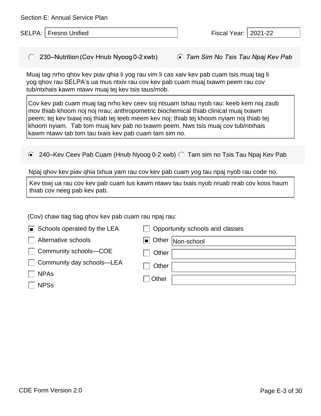Section E: Annual Service Plan

SELPA: Fresno Unified Fiscal Year: 2021-22

 $\bigcirc$  230–Nutrition (Cov Hnub Nyoog 0-2 xwb) ◯ Tam Sim No Tsis Tau Npaj Kev Pab

Muaj tag nrho qhov kev piav qhia li yog rau vim li cas xaiv kev pab cuam tsis muaj tag li yog qhov rau SELPA's ua mus ntxiv rau cov kev pab cuam muaj txawm peem rau cov tub/ntxhais kawm ntawv muaj tej kev tsis taus/mob.

Cov kev pab cuam muaj tag nrho kev ceev soj ntsuam tshau nyob rau: keeb kem noj zaub mov thiab khoom noj noj nrau; anthropometric biochemical thiab clinical muaj txawm peem; tej kev txawj noj thiab tej teeb meem kev noj; thiab tej khoom nyiam noj thiab tej khoom nyiam. Tab tom muaj kev pab no txawm peem. Nws tsis muaj cov tub/ntxhais kawm ntawv tab tom tau txais kev pab cuam tam sim no.

 $\odot$  240–Kev Ceev Pab Cuam (Hnub Nyoog 0-2 xwb)  $\odot$  Tam sim no Tsis Tau Npaj Kev Pab

Npaj qhov kev piav qhia txhua yam rau cov kev pab cuam yog tau npaj nyob rau code no.

Kev tswj ua rau cov kev pab cuam tus kawm ntawv tau txais nyob nruab nrab cov koos haum thiab cov neeg pab kev pab.

(Cov) chaw tiag tiag qhov kev pab cuam rau npaj rau:

| $\boxed{\blacksquare}$ Schools operated by the LEA | Opportunity schools and classes |
|----------------------------------------------------|---------------------------------|
| Alternative schools                                | Other Non-school                |
| Community schools-COE                              | Other                           |
| Community day schools—LEA                          | Other                           |
| <b>NPAs</b>                                        | Other                           |
| <b>NPSs</b>                                        |                                 |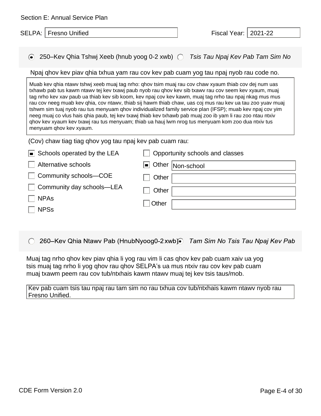| Section E: Annual Service Plan |  |  |
|--------------------------------|--|--|
|--------------------------------|--|--|

#### 250–Kev Qhia Tshwj Xeeb (hnub yoog 0-2 xwb) *Tsis Tau Npaj Kev Pab Tam Sim No*

#### Npaj qhov kev piav qhia txhua yam rau cov kev pab cuam yog tau npaj nyob rau code no.

Muab kev qhia ntawv tshwj xeeb muaj tag nrho: qhov tsim muaj rau cov chaw xyaum thiab cov dej num uas txhawb pab tus kawm ntawv tej kev txawj paub nyob rau qhov kev sib txawv rau cov seem kev xyaum, muaj tag nrho kev xav paub ua thiab kev sib koom, kev npaj cov kev kawm, muaj tag nrho tau npaj nkag mus mus rau cov neeg muab kev qhia, cov ntawv, thiab sij hawm thiab chaw, uas coj mus rau kev ua tau zoo yuav muaj tshwm sim tuaj nyob rau tus menyuam qhov individualized family service plan (IFSP); muab kev npaj cov yim neeg muaj co vlus hais qhia paub, tej kev txawj thiab kev txhawb pab muaj zoo ib yam li rau zoo ntau ntxiv qhov kev xyaum kev txawj rau tus menyuam; thiab ua hauj lwm nrog tus menyuam kom zoo dua ntxiv tus menyuam qhov kev xyaum.

#### (Cov) chaw tiag tiag qhov yog tau npaj kev pab cuam rau:

| Schools operated by the LEA | Opportunity schools and classes |
|-----------------------------|---------------------------------|
| Alternative schools         | Other Non-school                |
| □ Community schools–COE     | Other                           |
| □ Community day schools–LEA | Other                           |
| <b>NPAs</b>                 | Other                           |
| <b>NPSs</b>                 |                                 |

260-Kev Qhia Ntawv Pab (HnubNyoog0-2 xwb) Tam Sim No Tsis Tau Npaj Kev Pab

Muaj tag nrho qhov kev piav qhia li yog rau vim li cas qhov kev pab cuam xaiv ua yog tsis muaj tag nrho li yog qhov rau qhov SELPA's ua mus ntxiv rau cov kev pab cuam muaj txawm peem rau cov tub/ntxhais kawm ntawv muaj tej kev tsis taus/mob.

Kev pab cuam tsis tau npaj rau tam sim no rau txhua cov tub/ntxhais kawm ntawv nyob rau Fresno Unified.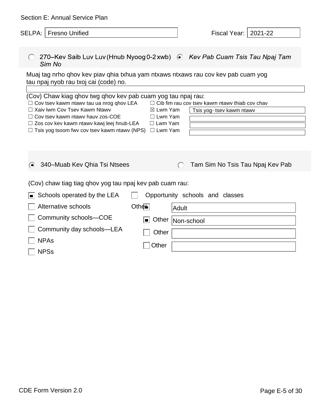| Section E: Annual Service Plan                                                                                                                                                                                                                                                                                         |                                                                                                                                               |  |  |
|------------------------------------------------------------------------------------------------------------------------------------------------------------------------------------------------------------------------------------------------------------------------------------------------------------------------|-----------------------------------------------------------------------------------------------------------------------------------------------|--|--|
| SELPA:   Fresno Unified                                                                                                                                                                                                                                                                                                | 2021-22<br>Fiscal Year:                                                                                                                       |  |  |
| Sim No                                                                                                                                                                                                                                                                                                                 | 270–Kev Saib Luv Luv (Hnub Nyoog 0-2 xwb) ⊙ Kev Pab Cuam Tsis Tau Npaj Tam                                                                    |  |  |
| tau npaj nyob rau txoj cai (code) no.                                                                                                                                                                                                                                                                                  | Muaj tag nrho qhov kev piav qhia txhua yam ntxaws ntxaws rau cov kev pab cuam yog                                                             |  |  |
| (Cov) Chaw kiag qhov twg qhov kev pab cuam yog tau npaj rau:<br>$\Box$ Cov tsev kawm ntawv tau ua nrog qhov LEA<br>$\Box$ Xaiv Iwm Cov Tsev Kawm Ntawv<br>$\Box$ Cov tsev kawm ntawv hauv zos-COE<br>□ Zos cov kev kawm ntawv kawj leej hnub-LEA<br>$\Box$ Tsis yog tsoom fwy cov tsev kawm ntawy (NPS) $\Box$ Lwm Yam | $\Box$ Cib fim rau cov tsev kawm ntawy thiab cov chav<br>$\boxtimes$ Lwm Yam<br>Tsis yog- tsev kawm ntawv<br>$\Box$ Lwm Yam<br>$\Box$ Lwm Yam |  |  |
| 340-Muab Kev Qhia Tsi Ntsees                                                                                                                                                                                                                                                                                           | Tam Sim No Tsis Tau Npaj Kev Pab                                                                                                              |  |  |
| (Cov) chaw tiag tiag qhov yog tau npaj kev pab cuam rau:                                                                                                                                                                                                                                                               |                                                                                                                                               |  |  |
| Schools operated by the LEA<br>П<br>Alternative schools                                                                                                                                                                                                                                                                | Opportunity schools and classes<br>Other<br>Adult                                                                                             |  |  |
| Community schools-COE                                                                                                                                                                                                                                                                                                  | Other<br>$\blacksquare$<br>Non-school                                                                                                         |  |  |
| Community day schools-LEA<br><b>NPAs</b><br><b>NPSs</b>                                                                                                                                                                                                                                                                | Other<br>Other                                                                                                                                |  |  |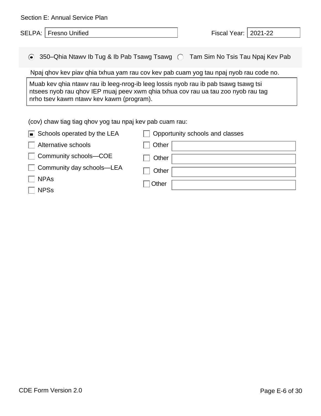| Section E: Annual Service Plan                                                                                                                                                                                       |                                                                                       |  |
|----------------------------------------------------------------------------------------------------------------------------------------------------------------------------------------------------------------------|---------------------------------------------------------------------------------------|--|
| <b>SELPA:   Fresno Unified</b>                                                                                                                                                                                       | Fiscal Year:   2021-22                                                                |  |
|                                                                                                                                                                                                                      |                                                                                       |  |
| $\odot$                                                                                                                                                                                                              | 350–Qhia Ntawy Ib Tug & Ib Pab Tsawg Tsawg   ◯    Tam Sim No Tsis Tau Npaj Kev Pab    |  |
|                                                                                                                                                                                                                      | Npaj ghov kev piav ghia txhua yam rau cov kev pab cuam yog tau npaj nyob rau code no. |  |
| Muab kev qhia ntawy rau ib leeg-nrog-ib leeg lossis nyob rau ib pab tsawg tsawg tsi<br>ntsees nyob rau qhov IEP muaj peev xwm qhia txhua cov rau ua tau zoo nyob rau tag<br>nrho tsev kawm ntawv kev kawm (program). |                                                                                       |  |
| (cov) chaw tiag tiag qhov yog tau npaj kev pab cuam rau:                                                                                                                                                             |                                                                                       |  |
| Schools operated by the LEA                                                                                                                                                                                          | Opportunity schools and classes                                                       |  |
| Alternative schools                                                                                                                                                                                                  | Other                                                                                 |  |
| Community schools-COE                                                                                                                                                                                                | Other                                                                                 |  |

**Other** 

□ Other

Community day schools—LEA

NPAs

NPSs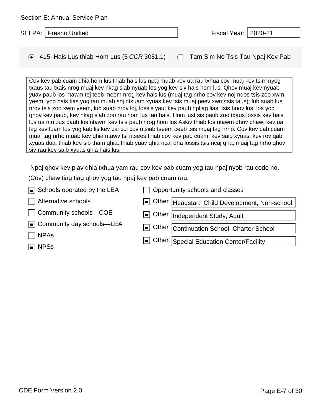| Cov kev pab cuam qhia hom lus thiab hais lus npaj muab kev ua rau txhua cov muaj kev tsim nyog<br>txaus tau txais nrog muaj kev nkag siab nyuab los yog kev siv hais hom lus. Qhov muaj kev nyuab<br>yuav paub los ntawm tej teeb meem nrog kev hais lus (muaj tag nrho cov kev noj nqos tsis zoo xwm<br>yeem, yog hais tias yog tau muab soj ntsuam xyuas kev tsis muaj peev xwm/tsis taus); lub suab lus<br>nrov tsis zoo xwm yeem, lub suab nrov loj, lossis yau; kev paub npliag lias; tsis hnov lus; los yog<br>ghov kev paub, kev nkag siab zoo rau hom lus tau hais. Hom lust sis paub zoo txaus lossis kev hais<br>lus ua ntu zus paub los ntawm kev tsis paub nrog hom lus Askiv thiab los ntawm qhov chaw, kev ua<br>lag kev luam los yog kab lis kev cai coj cov ntsiab tseem ceeb tsis muaj tag nrho. Cov kev pab cuam<br>muaj tag nrho muab kev ghia ntawy tsi ntsees thiab cov kev pab cuam: kev saib xyuas, kev rov gab<br>xyuas dua, thiab kev sib tham qhia, thiab yuav qhia ncaj qha lossis tsis ncaj qha, muaj tag nrho qhov<br>siv rau kev saib xyuas qhia hais lus. |                         |                                           |  |
|------------------------------------------------------------------------------------------------------------------------------------------------------------------------------------------------------------------------------------------------------------------------------------------------------------------------------------------------------------------------------------------------------------------------------------------------------------------------------------------------------------------------------------------------------------------------------------------------------------------------------------------------------------------------------------------------------------------------------------------------------------------------------------------------------------------------------------------------------------------------------------------------------------------------------------------------------------------------------------------------------------------------------------------------------------------------------------------|-------------------------|-------------------------------------------|--|
|                                                                                                                                                                                                                                                                                                                                                                                                                                                                                                                                                                                                                                                                                                                                                                                                                                                                                                                                                                                                                                                                                          |                         |                                           |  |
| Npaj ghov kev piav ghia txhua yam rau cov kev pab cuam yog tau npaj nyob rau code no.                                                                                                                                                                                                                                                                                                                                                                                                                                                                                                                                                                                                                                                                                                                                                                                                                                                                                                                                                                                                    |                         |                                           |  |
| (Cov) chaw tiag tiag qhov yog tau npaj kev pab cuam rau:                                                                                                                                                                                                                                                                                                                                                                                                                                                                                                                                                                                                                                                                                                                                                                                                                                                                                                                                                                                                                                 |                         |                                           |  |
| Schools operated by the LEA                                                                                                                                                                                                                                                                                                                                                                                                                                                                                                                                                                                                                                                                                                                                                                                                                                                                                                                                                                                                                                                              |                         | Opportunity schools and classes           |  |
| Alternative schools                                                                                                                                                                                                                                                                                                                                                                                                                                                                                                                                                                                                                                                                                                                                                                                                                                                                                                                                                                                                                                                                      | Other<br>$\blacksquare$ | Headstart, Child Development, Non-school  |  |
| Community schools-COE                                                                                                                                                                                                                                                                                                                                                                                                                                                                                                                                                                                                                                                                                                                                                                                                                                                                                                                                                                                                                                                                    | Other<br>п              | Independent Study, Adult                  |  |
| Community day schools—LEA<br>l o L                                                                                                                                                                                                                                                                                                                                                                                                                                                                                                                                                                                                                                                                                                                                                                                                                                                                                                                                                                                                                                                       | $\blacksquare$          | Other Continuation School, Charter School |  |
| <b>NPAs</b>                                                                                                                                                                                                                                                                                                                                                                                                                                                                                                                                                                                                                                                                                                                                                                                                                                                                                                                                                                                                                                                                              |                         |                                           |  |
|                                                                                                                                                                                                                                                                                                                                                                                                                                                                                                                                                                                                                                                                                                                                                                                                                                                                                                                                                                                                                                                                                          | Other                   | Special Education Center/Facility         |  |
| <b>NPSs</b>                                                                                                                                                                                                                                                                                                                                                                                                                                                                                                                                                                                                                                                                                                                                                                                                                                                                                                                                                                                                                                                                              |                         |                                           |  |
|                                                                                                                                                                                                                                                                                                                                                                                                                                                                                                                                                                                                                                                                                                                                                                                                                                                                                                                                                                                                                                                                                          |                         |                                           |  |

415–Hais Lus thiab Hom Lus (5 *CCR* 3051.1) Tam Sim No Tsis Tau Npaj Kev Pab

| SELPA: Fresno Unified | Fiscal Year:   2020-21 |  |
|-----------------------|------------------------|--|
|-----------------------|------------------------|--|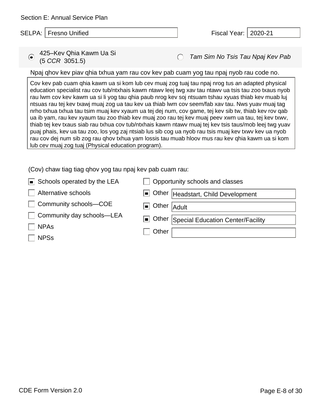*Tam Sim No Tsis Tau Npaj Kev Pab* 425–Kev Qhia Kawm Ua Si (5 *CCR* 3051.5)

Npaj qhov kev piav qhia txhua yam rau cov kev pab cuam yog tau npaj nyob rau code no.

Cov kev pab cuam qhia kawm ua si kom lub cev muaj zog tuaj tau npaj nrog tus an adapted physical education specialist rau cov tub/ntxhais kawm ntawv leej twg xav tau ntawv ua tsis tau zoo txaus nyob rau lwm cov kev kawm ua si li yog tau qhia paub nrog kev soj ntsuam tshau xyuas thiab kev muab luj ntsuas rau tej kev txawj muaj zog ua tau kev ua thiab lwm cov seem/fab xav tau. Nws yuav muaj tag nrho txhua txhua tau tsim muaj kev xyaum ua tej dej num, cov game, tej kev sib tw, thiab kev rov qab ua ib yam, rau kev xyaum tau zoo thiab kev muaj zoo rau tej kev muaj peev xwm ua tau, tej kev txwv, thiab tej kev txaus siab rau txhua cov tub/ntxhais kawm ntawv muaj tej kev tsis taus/mob leej twg yuav puaj phais, kev ua tau zoo, los yog zaj ntsiab lus sib cog ua nyob rau tsis muaj kev txwv kev ua nyob rau cov dej num sib zog rau qhov txhua yam lossis tau muab hloov mus rau kev qhia kawm ua si kom lub cev muaj zog tuaj (Physical education program).

| $\blacksquare$ Schools operated by the LEA | Opportunity schools and classes         |
|--------------------------------------------|-----------------------------------------|
| Alternative schools                        | Other Headstart, Child Development      |
| Community schools-COE                      | $\Box$ Other $A$ dult                   |
| Community day schools-LEA                  | Other Special Education Center/Facility |
| $\Box$ NPAs                                | Other                                   |
| <b>NPSs</b>                                |                                         |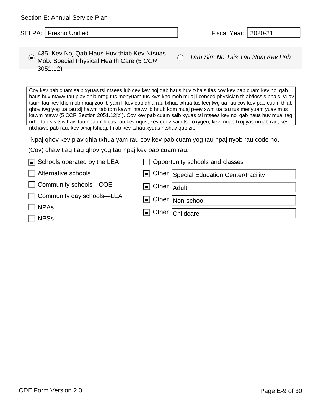| Section E: Annual Service Plan |  |  |  |  |
|--------------------------------|--|--|--|--|
|--------------------------------|--|--|--|--|

| $\sim$ 435–Kev Noj Qab Haus Huv thiab Kev Ntsuas   |
|----------------------------------------------------|
| $\bullet$ Mob: Special Physical Health Care (5 CCR |
| 3051.12)                                           |

*Tam Sim No Tsis Tau Npaj Kev Pab* 435–Kev Noj Qab Haus Huv thiab Kev Ntsuas

Cov kev pab cuam saib xyuas tsi ntsees lub cev kev noj qab haus huv txhais tias cov kev pab cuam kev noj qab haus huv ntawv tau piav qhia nrog tus menyuam tus kws kho mob muaj licensed physician thiab/lossis phais, yuav tsum tau kev kho mob muaj zoo ib yam li kev cob qhia rau txhua txhua tus leej twg ua rau cov kev pab cuam thiab qhov twg yog ua tau sij hawm tab tom kawm ntawv ib hnub kom muaj peev xwm ua tau tus menyuam yuav mus kawm ntawv (5 CCR Section 2051.12[b]). Cov kev pab cuam saib xyuas tsi ntsees kev noj qab haus huv muaj tag nrho tab sis tsis hais tau npaum li cas rau kev nqus, kev ceev saib tso oxygen, kev muab txoj yas nruab rau, kev ntxhawb pab rau, kev txhaj tshuaj, thiab kev tshau xyuas ntshav qab zib.

Npaj qhov kev piav qhia txhua yam rau cov kev pab cuam yog tau npaj nyob rau code no.

| $\boxed{\blacksquare}$ Schools operated by the LEA | Opportunity schools and classes         |
|----------------------------------------------------|-----------------------------------------|
| Alternative schools                                | Other Special Education Center/Facility |
| Community schools-COE                              | $\Box$ Other $ $ Adult                  |
| Community day schools-LEA                          | Other Non-school                        |
| <b>NPAs</b>                                        | Other Childcare                         |
| <b>NPSs</b>                                        |                                         |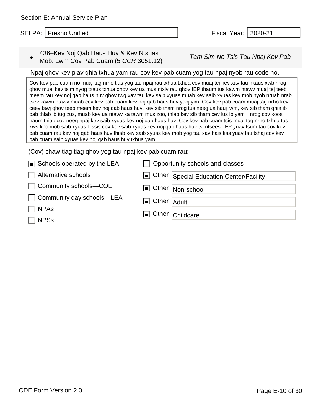*Tam Sim No Tsis Tau Npaj Kev Pab* 436–Kev Noj Qab Haus Huv & Kev Ntsuas Mob: Lwm Cov Pab Cuam (5 *CCR* 3051.12)

#### Npaj qhov kev piav qhia txhua yam rau cov kev pab cuam yog tau npaj nyob rau code no.

Cov kev pab cuam no muaj tag nrho tias yog tau npaj rau txhua txhua cov muaj tej kev xav tau nkaus xwb nrog qhov muaj kev tsim nyog txaus txhua qhov kev ua mus ntxiv rau qhov IEP thaum tus kawm ntawv muaj tej teeb meem rau kev noj qab haus huv qhov twg xav tau kev saib xyuas muab kev saib xyuas kev mob nyob nruab nrab tsev kawm ntawv muab cov kev pab cuam kev noj qab haus huv yooj yim. Cov kev pab cuam muaj tag nrho kev ceev tswj qhov teeb meem kev noj qab haus huv, kev sib tham nrog tus neeg ua hauj lwm, kev sib tham qhia ib pab thiab ib tug zus, muab kev ua ntawv xa tawm mus zoo, thiab kev sib tham cev lus ib yam li nrog cov koos haum thiab cov neeg npaj kev saib xyuas kev noj qab haus huv. Cov kev pab cuam tsis muaj tag nrho txhua tus kws kho mob saib xyuas lossis cov kev saib xyuas kev noj qab haus huv tsi ntsees. IEP yuav tsum tau cov kev pab cuam rau kev noj qab haus huv thiab kev saib xyuas kev mob yog tau xav hais tias yuav tau tshaj cov kev pab cuam saib xyuas kev noj qab haus huv txhua yam.

| $\Box$ Schools operated by the LEA | Opportunity schools and classes         |
|------------------------------------|-----------------------------------------|
| Alternative schools                | Other Special Education Center/Facility |
| □ Community schools–COE            | Other Non-school                        |
| □ Community day schools–LEA        | $\Box$ Other $ $ Adult                  |
| $\Box$ NPAs                        | Other Childcare                         |
| $\Box$ NPSs                        |                                         |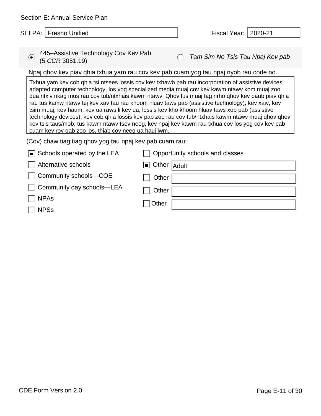| Section E: Annual Service Plan                                                                                                                                                                                                                                                                                                                                                                                                                                                                                                                                                                                                                                                                                                                                                    |                                                                                       |                         |       |                                  |  |
|-----------------------------------------------------------------------------------------------------------------------------------------------------------------------------------------------------------------------------------------------------------------------------------------------------------------------------------------------------------------------------------------------------------------------------------------------------------------------------------------------------------------------------------------------------------------------------------------------------------------------------------------------------------------------------------------------------------------------------------------------------------------------------------|---------------------------------------------------------------------------------------|-------------------------|-------|----------------------------------|--|
|                                                                                                                                                                                                                                                                                                                                                                                                                                                                                                                                                                                                                                                                                                                                                                                   | <b>SELPA:   Fresno Unified</b>                                                        |                         |       | Fiscal Year:   2020-21           |  |
|                                                                                                                                                                                                                                                                                                                                                                                                                                                                                                                                                                                                                                                                                                                                                                                   |                                                                                       |                         |       |                                  |  |
| $\odot$                                                                                                                                                                                                                                                                                                                                                                                                                                                                                                                                                                                                                                                                                                                                                                           | 445–Assistive Technology Cov Kev Pab<br>(5 CCR 3051.19)                               |                         |       | Tam Sim No Tsis Tau Npaj Kev pab |  |
|                                                                                                                                                                                                                                                                                                                                                                                                                                                                                                                                                                                                                                                                                                                                                                                   | Npaj ghov kev piav ghia txhua yam rau cov kev pab cuam yog tau npaj nyob rau code no. |                         |       |                                  |  |
| Txhua yam kev cob qhia tsi ntsees lossis cov kev txhawb pab rau incorporation of assistive devices,<br>adapted computer technology, los yog specialized media muaj cov kev kawm ntawv kom muaj zoo<br>dua ntxiv nkag mus rau cov tub/ntxhais kawm ntawv. Qhov lus muaj tag nrho qhov kev paub piav qhia<br>rau tus kamw ntawy tej kev xav tau rau khoom hluav taws pab (assistive technology); kev xaiv, kev<br>tsim muaj, kev haum, kev ua raws li kev ua, lossis kev kho khoom hluav taws xob pab (assistive<br>technology devices); kev cob qhia lossis kev pab zoo rau cov tub/ntxhais kawm ntawv muaj qhov qhov<br>kev tsis taus/mob, tus kawm ntawv tsev neeg, kev npaj kev kawm rau txhua cov los yog cov kev pab<br>cuam kev rov gab zoo los, thiab cov neeg ua hauj lwm. |                                                                                       |                         |       |                                  |  |
| (Cov) chaw tiag tiag qhov yog tau npaj kev pab cuam rau:                                                                                                                                                                                                                                                                                                                                                                                                                                                                                                                                                                                                                                                                                                                          |                                                                                       |                         |       |                                  |  |
|                                                                                                                                                                                                                                                                                                                                                                                                                                                                                                                                                                                                                                                                                                                                                                                   | Schools operated by the LEA                                                           |                         |       | Opportunity schools and classes  |  |
|                                                                                                                                                                                                                                                                                                                                                                                                                                                                                                                                                                                                                                                                                                                                                                                   | Alternative schools                                                                   | Other<br>$\blacksquare$ | Adult |                                  |  |
|                                                                                                                                                                                                                                                                                                                                                                                                                                                                                                                                                                                                                                                                                                                                                                                   | Community schools-COE                                                                 | Other                   |       |                                  |  |
|                                                                                                                                                                                                                                                                                                                                                                                                                                                                                                                                                                                                                                                                                                                                                                                   | Community day schools-LEA                                                             | Other                   |       |                                  |  |

□ Other

| i i |
|-----|
|-----|

NPSs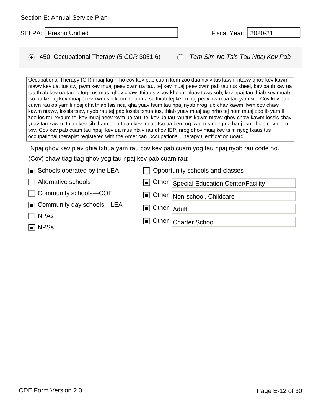| Section E: Annual Service Plan            |                                           |  |
|-------------------------------------------|-------------------------------------------|--|
| SELPA:   Fresno Unified                   | Fiscal Year:   2020-21                    |  |
|                                           |                                           |  |
| ◯ 450–Occupational Therapy (5 CCR 3051.6) | <b>C</b> Tam Sim No Tsis Tau Npaj Kev Pab |  |

Occupational Therapy (OT) muaj tag nrho cov kev pab cuam kom zoo dua ntxiv tus kawm ntawv qhov kev kawm ntawv kev ua, tus cwj pwm kev muaj peev xwm ua tau, tej kev muaj peev xwm pab tau tus kheej, kev paub xav ua tau thiab kev ua tau ib tog zus mus, qhov chaw, thiab siv cov khoom hluav taws xob, kev npaj tau thiab kev muab tso ua ke, tej kev muaj peev xwm sib koom thiab ua si, thiab tej kev muaj peev xwm ua tau yam sib. Cov kev pab cuam rau ob yam li ncaj qha thiab tsis ncaj qha yuav tsum tau npaj nyob nrog lub chav kawm, lwm cov chaw kawm ntawv, lossis tsev, nyob rau tej pab lossis txhua tus, thiab yuav muaj tag nrho tej hom muaj zoo ib yam li zoo los rau xyaum tej kev muaj peev xwm ua tau, tej kev ua tau rau tus kawm ntawv qhov chaw kawm lossis chav yuav tau kawm, thiab kev sib tham qhia thiab kev muab tso ua ken rog lwm tus neeg ua hauj lwm thiab cov niam txiv. Cov kev pab cuam tau npaj, kev ua mus ntxiv rau qhov IEP, nrog qhov muaj kev tsim nyog txaus tus occupational therapist registered with the American Occupational Therapy Certification Board.

Npaj qhov kev piav qhia txhua yam rau cov kev pab cuam yog tau npaj nyob rau code no.

| $\blacksquare$ Schools operated by the LEA | Opportunity schools and classes         |
|--------------------------------------------|-----------------------------------------|
| Alternative schools<br>$\mathbb{R}^n$      | Other Special Education Center/Facility |
| □ Community schools–COE                    | Other   Non-school, Childcare           |
| $\Box$ Community day schools—LEA           | $\Box$ Other $ $ Adult                  |
| $\Box$ NPAs                                | Other Charter School                    |
| $\Box$ NPSs                                |                                         |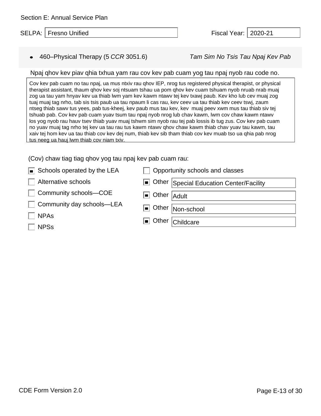## ● 460–Physical Therapy (5 *CCR* 3051.6) *Tam Sim No Tsis Tau Npaj Kev Pab*

### Npaj qhov kev piav qhia txhua yam rau cov kev pab cuam yog tau npaj nyob rau code no.

Cov kev pab cuam no tau npaj, ua mus ntxiv rau qhov IEP, nrog tus registered physical therapist, or physical therapist assistant, thaum qhov kev soj ntsuam tshau ua pom qhov kev cuam tshuam nyob nruab nrab muaj zog ua tau yam hnyav kev ua thiab lwm yam kev kawm ntawv tej kev txawj paub. Kev kho lub cev muaj zog tuaj muaj tag nrho, tab sis tsis paub ua tau npaum li cas rau, kev ceev ua tau thiab kev ceev tswj, zaum ntseg thiab sawv tus yees, pab tus-kheej, kev paub mus tau kev, kev muaj peev xwm mus tau thiab siv tej tshuab pab. Cov kev pab cuam yuav tsum tau npaj nyob nrog lub chav kawm, lwm cov chaw kawm ntawv los yog nyob rau hauv tsev thiab yuav muaj tshwm sim nyob rau tej pab lossis ib tug zus. Cov kev pab cuam no yuav muaj tag nrho tej kev ua tau rau tus kawm ntawv qhov chaw kawm thiab chav yuav tau kawm, tau xaiv tej hom kev ua tau thiab cov kev dej num, thiab kev sib tham thiab cov kev muab tso ua qhia pab nrog tus neeg ua hauj lwm thiab cov niam txiv.

| $\blacksquare$ Schools operated by the LEA | Opportunity schools and classes         |
|--------------------------------------------|-----------------------------------------|
| Alternative schools                        | Other Special Education Center/Facility |
| Community schools-COE                      | $\Box$ Other $ $ Adult                  |
| □ Community day schools–LEA                | Other Non-school                        |
| <b>NPAs</b>                                | <b>I</b> Other Childcare                |
| $\sqcap$ NPSs                              |                                         |
|                                            |                                         |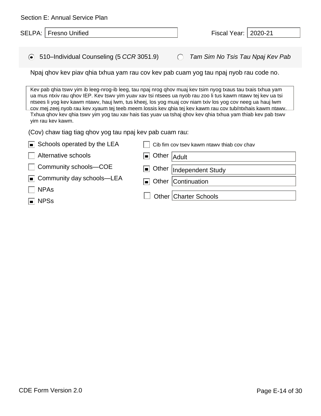| Section E: Annual Service Plan                                                                                                                                                                                                                                                                                                                                                                                                                                                                                                                                                              |                                                                                       |                         |                                               |                                            |         |
|---------------------------------------------------------------------------------------------------------------------------------------------------------------------------------------------------------------------------------------------------------------------------------------------------------------------------------------------------------------------------------------------------------------------------------------------------------------------------------------------------------------------------------------------------------------------------------------------|---------------------------------------------------------------------------------------|-------------------------|-----------------------------------------------|--------------------------------------------|---------|
|                                                                                                                                                                                                                                                                                                                                                                                                                                                                                                                                                                                             | <b>SELPA:   Fresno Unified</b>                                                        |                         |                                               | Fiscal Year:                               | 2020-21 |
|                                                                                                                                                                                                                                                                                                                                                                                                                                                                                                                                                                                             |                                                                                       |                         |                                               |                                            |         |
|                                                                                                                                                                                                                                                                                                                                                                                                                                                                                                                                                                                             | ◯ 510-Individual Counseling (5 CCR 3051.9)                                            |                         | $\left( \begin{array}{c} \end{array} \right)$ | Tam Sim No Tsis Tau Npaj Kev Pab           |         |
|                                                                                                                                                                                                                                                                                                                                                                                                                                                                                                                                                                                             | Npaj ghov kev piav ghia txhua yam rau cov kev pab cuam yog tau npaj nyob rau code no. |                         |                                               |                                            |         |
| Kev pab qhia tswv yim ib leeg-nrog-ib leeg, tau npaj nrog qhov muaj kev tsim nyog txaus tau txais txhua yam<br>ua mus ntxiv rau ghov IEP. Kev tswy yim yuav xav tsi ntsees ua nyob rau zoo li tus kawm ntawy tej kev ua tsi<br>ntsees li yog kev kawm ntawv, hauj lwm, tus kheej, los yog muaj cov niam txiv los yog cov neeg ua hauj lwm<br>cov mej zeej nyob rau kev xyaum tej teeb meem lossis kev ghia tej kev kawm rau cov tub/ntxhais kawm ntawv.<br>Txhua qhov kev qhia tswy yim yog tau xav hais tias yuav ua tshaj qhov kev qhia txhua yam thiab kev pab tswy<br>yim rau kev kawm. |                                                                                       |                         |                                               |                                            |         |
|                                                                                                                                                                                                                                                                                                                                                                                                                                                                                                                                                                                             | (Cov) chaw tiag tiag qhov yog tau npaj kev pab cuam rau:                              |                         |                                               |                                            |         |
|                                                                                                                                                                                                                                                                                                                                                                                                                                                                                                                                                                                             | Schools operated by the LEA                                                           |                         |                                               | Cib fim cov tsev kawm ntawy thiab cov chav |         |
|                                                                                                                                                                                                                                                                                                                                                                                                                                                                                                                                                                                             | Alternative schools                                                                   | Other<br>ol             | Adult                                         |                                            |         |
|                                                                                                                                                                                                                                                                                                                                                                                                                                                                                                                                                                                             | Community schools-COE                                                                 | Other<br>$\blacksquare$ |                                               | Independent Study                          |         |
| In                                                                                                                                                                                                                                                                                                                                                                                                                                                                                                                                                                                          | Community day schools—LEA                                                             | п                       |                                               | Other Continuation                         |         |
| <b>NPAs</b>                                                                                                                                                                                                                                                                                                                                                                                                                                                                                                                                                                                 |                                                                                       |                         |                                               |                                            |         |
| <b>NPSs</b>                                                                                                                                                                                                                                                                                                                                                                                                                                                                                                                                                                                 |                                                                                       | Other                   |                                               | <b>Charter Schools</b>                     |         |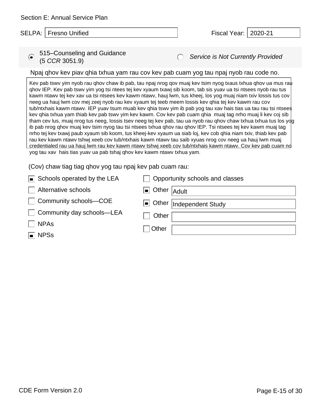# *Service is Not Currently Provided* 515–Counseling and Guidance (5 *CCR* 3051.9)

# Npaj qhov kev piav qhia txhua yam rau cov kev pab cuam yog tau npaj nyob rau code no.

Kev pab tswv yim nyob rau qhov chaw ib pab, tau npaj nrog qov muaj kev tsim nyog txaus txhua qhov ua mus rau qhov IEP. Kev pab tswv yim yog tsi ntees tej kev xyaum txawj sib koom, tab sis yuav ua tsi ntsees nyob rau tus kawm ntawv tej kev xav ua tsi ntsees kev kawm ntawv, hauj lwm, tus kheej, los yog muaj niam txiv lossis tus cov neeg ua hauj lwm cov mej zeej nyob rau kev xyaum tej teeb meem lossis kev qhia tej kev kawm rau cov tub/ntxhais kawm ntawv. IEP yuav tsum muab kev qhia tswv yim ib pab yog tau xav hais tias ua tau rau tsi ntsees kev qhia txhua yam thiab kev pab tswv yim kev kawm. Cov kev pab cuam qhia muaj tag nrho muaj li kev coj sib tham cev lus, muaj nrog tus neeg, lossis tsev neeg tej kev pab, tau ua nyob rau qhov chaw txhua txhua tus los yog ib pab nrog qhov muaj kev tsim nyog tau tsi ntsees txhua qhov rau qhov IEP. Tsi ntsees tej kev kawm muaj tag nrho tej kev txawj paub xyaum sib koom, tus kheej-kev xyaum ua siab loj, kev cob qhia niam txiv, thiab kev pab rau kev kawm ntawv tshwj xeeb cov tub/ntxhais kawm ntawv tau saib xyuas nrog cov neeg ua hauj lwm muaj credentialed rau ua hauj lwm rau kev kawm ntawv tshwj xeeb cov tub/ntxhais kawm ntawv. Cov kev pab cuam no yog tau xav hais tias yuav ua pab tshaj qhov kev kawm ntawv txhua yam.

| $\blacksquare$ Schools operated by the LEA | Opportunity schools and classes |
|--------------------------------------------|---------------------------------|
| Alternative schools                        | $\Box$ Other $ $ Adult          |
| Community schools-COE                      | Other  Independent Study        |
| □ Community day schools–LEA                | Other                           |
| $\overline{\phantom{a}}$ NPAs              | ∏Other                          |
| $\blacksquare$ NPSs                        |                                 |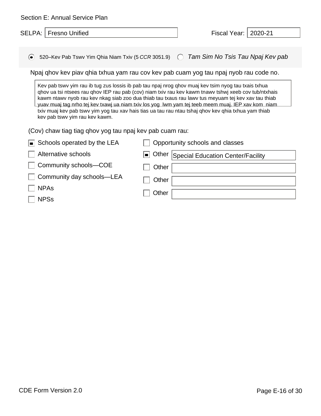| Section E: Annual Service Plan                                                                                                                                                                                                                                                                                                                                                                                                                                                                                                                                                                                                  |                                               |                                   |  |  |  |
|---------------------------------------------------------------------------------------------------------------------------------------------------------------------------------------------------------------------------------------------------------------------------------------------------------------------------------------------------------------------------------------------------------------------------------------------------------------------------------------------------------------------------------------------------------------------------------------------------------------------------------|-----------------------------------------------|-----------------------------------|--|--|--|
| SELPA:<br><b>Fresno Unified</b>                                                                                                                                                                                                                                                                                                                                                                                                                                                                                                                                                                                                 |                                               | Fiscal Year:   2020-21            |  |  |  |
|                                                                                                                                                                                                                                                                                                                                                                                                                                                                                                                                                                                                                                 |                                               |                                   |  |  |  |
| 520–Kev Pab Tswv Yim Qhia Niam Txiv (5 CCR 3051.9)<br>$\left( \bullet \right)$                                                                                                                                                                                                                                                                                                                                                                                                                                                                                                                                                  | $\left( \begin{array}{c} \end{array} \right)$ | Tam Sim No Tsis Tau Npaj Kev pab  |  |  |  |
| Npaj qhov kev piav qhia txhua yam rau cov kev pab cuam yog tau npaj nyob rau code no.                                                                                                                                                                                                                                                                                                                                                                                                                                                                                                                                           |                                               |                                   |  |  |  |
| Kev pab tswv yim rau ib tug zus lossis ib pab tau npaj nrog qhov muaj kev tsim nyog tau txais txhua<br>ghov ua tsi ntsees rau ghov IEP rau pab (cov) niam txiv rau kev kawm tnawv tshwj xeeb cov tub/ntxhais<br>kawm ntawy nyob rau key nkag siab zoo dua thiab tau txaus rau lawy tus meyuam tej key xay tau thiab<br>yuav muaj tag nrho tej kev txawj ua niam txiv los yog lwm yam tej teeb meem muaj. IEP xav kom niam<br>txiv muaj kev pab tswy yim yog tau xav hais tias ua tau rau ntau tshaj qhov kev qhia txhua yam thiab<br>kev pab tswy yim rau kev kawm.<br>(Cov) chaw tiag tiag qhov yog tau npaj kev pab cuam rau: |                                               |                                   |  |  |  |
| Schools operated by the LEA                                                                                                                                                                                                                                                                                                                                                                                                                                                                                                                                                                                                     | Opportunity schools and classes               |                                   |  |  |  |
| Alternative schools                                                                                                                                                                                                                                                                                                                                                                                                                                                                                                                                                                                                             | Other<br>$\blacksquare$                       | Special Education Center/Facility |  |  |  |
| Community schools-COE                                                                                                                                                                                                                                                                                                                                                                                                                                                                                                                                                                                                           | Other                                         |                                   |  |  |  |
| Community day schools—LEA<br><b>NPAs</b><br><b>NPSs</b>                                                                                                                                                                                                                                                                                                                                                                                                                                                                                                                                                                         | Other<br>Other                                |                                   |  |  |  |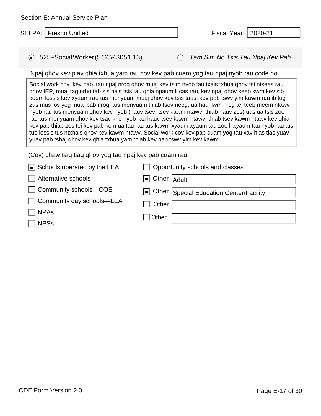| SELPA:   Fresno Unified | Fiscal Year:   2020-21 |  |
|-------------------------|------------------------|--|
|                         |                        |  |

Section E: Annual Service Plan

● 525–SocialWorker(5*CCR*3051.13) *Tam Sim No Tsis Tau Npaj Kev Pab* 

Npaj qhov kev piav qhia txhua yam rau cov kev pab cuam yog tau npaj nyob rau code no.

Social work cov kev pab, tau npaj nrog qhov muaj kev tsim nyob tau txais txhua qhov tsi ntsees rau qhov IEP, muaj tag nrho tab sis hais tsis tau qhia npaum li cas rau, kev npaj qhov keeb kwm kev sib koom lossis kev xyaum rau tus menyuam muaj qhov kev tsis taus, kev pab tswv yim kawm rau ib tug zus mus los yog muaj pab nrog tus menyuam thiab tsev neeg, ua hauj lwm nrog tej teeb meem ntawv nyob rau tus menyuam qhov kev nyob (hauv tsev, tsev kawm ntawv, thiab hauv zos) uas ua tsis zoo rau tus menyuam qhov kev tsav kho nyob rau hauv tsev kawm ntawv, thiab tsev kawm ntawv kev qhia kev pab thiab zos tej kev pab kom ua tau rau tus kawm xyaum xyaum tau zoo li xyaum tau nyob rau tus tub lossis tus ntxhais qhov kev kawm ntawv. Social work cov kev pab cuam yog tau xav hias tias yuav yuav pab tshaj qhov kev qhia txhua yam thiab kev pab tswv yim kev kawm.

| $\blacksquare$ Schools operated by the LEA | Opportunity schools and classes         |
|--------------------------------------------|-----------------------------------------|
| Alternative schools                        | $\Box$ Other $ $ Adult                  |
| Community schools-COE<br>$\mathbf{L}$      | Other Special Education Center/Facility |
| Community day schools-LEA                  | Other                                   |
| <b>NPAs</b>                                | Other                                   |
| <b>NPSs</b>                                |                                         |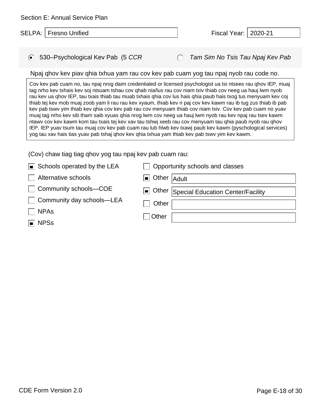| Section E: Annual Service Plan |                        |  |
|--------------------------------|------------------------|--|
| SELPA:   Fresno Unified        | Fiscal Year:   2020-21 |  |

| • 530-Psychological Kev Pab (5 CCR |  |
|------------------------------------|--|
|                                    |  |

 $\bigcap$ *Tam Sim No Tsis Tau Npaj Kev Pab*

#### Npaj qhov kev piav qhia txhua yam rau cov kev pab cuam yog tau npaj nyob rau code no.

Cov kev pab cuam no, tau npaj nrog daim credentialed or licensed psychologist ua tsi ntsees rau qhov IEP, muaj tag nrho kev txhais kev soj ntsuam tshau cov qhab nia/lus rau cov niam txiv thiab cov neeg ua hauj lwm nyob rau kev ua qhov IEP, tau txais thiab tau muab txhais qhia cov lus hais qhia paub hais txog tus menyuam kev coj thiab tej kev mob muaj zoob yam li rau rau kev xyaum, thiab kev n paj cov kev kawm rau ib tug zus thiab ib pab kev pab tswv yim thiab kev qhia cov kev pab rau cov menyuam thiab cov niam txiv. Cov kev pab cuam no yuav muaj tag nrho kev sib tham saib xyuas qhia nrog lwm cov neeg ua hauj lwm nyob rau kev npaj rau tsev kawm ntawv cov kev kawm kom tau txais tej kev xav tau tshwj xeeb rau cov menyuam tau qhia paub nyob rau qhov IEP. IEP yuav tsum tau muaj cov kev pab cuam rau lub hlwb kev txawj paub kev kawm (pyschological services) yog tau xav hais tias yuav pab tshaj qhov kev qhia txhua yam thiab kev pab tswv yim kev kawm.

| $\blacksquare$ Schools operated by the LEA | Opportunity schools and classes         |
|--------------------------------------------|-----------------------------------------|
| Alternative schools                        | $\Box$ Other $ $ Adult                  |
| □ Community schools–COE                    | Other Special Education Center/Facility |
| Community day schools—LEA                  | Other                                   |
| <b>NPAs</b>                                | Other                                   |
| $\blacksquare$ NPSs                        |                                         |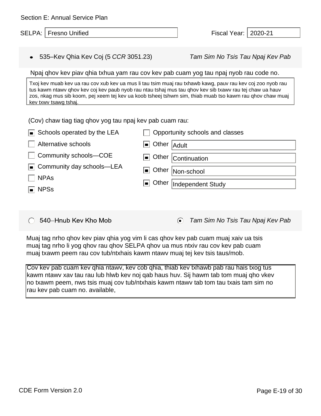| Section E: Annual Service Plan                                                                                                                                                                     |                                                                                                                                                                                                                                                                                                                                      |
|----------------------------------------------------------------------------------------------------------------------------------------------------------------------------------------------------|--------------------------------------------------------------------------------------------------------------------------------------------------------------------------------------------------------------------------------------------------------------------------------------------------------------------------------------|
| SELPA:  <br><b>Fresno Unified</b>                                                                                                                                                                  | Fiscal Year:  <br>2020-21                                                                                                                                                                                                                                                                                                            |
|                                                                                                                                                                                                    |                                                                                                                                                                                                                                                                                                                                      |
| 535–Kev Qhia Kev Coj (5 CCR 3051.23)                                                                                                                                                               | Tam Sim No Tsis Tau Npaj Kev Pab                                                                                                                                                                                                                                                                                                     |
|                                                                                                                                                                                                    | Npaj ghov kev piav ghia txhua yam rau cov kev pab cuam yog tau npaj nyob rau code no.                                                                                                                                                                                                                                                |
| kev txwy tsawg tshaj.                                                                                                                                                                              | Txoj kev muab kev ua rau cov xub kev ua mus li tau tsim muaj rau txhawb kawg, pauv rau kev coj zoo nyob rau<br>tus kawm ntawy qhov key coj key paub nyob rau ntau tshaj mus tau qhov key sib txawy rau tej chaw ua hauv<br>zos, nkag mus sib koom, pej xeem tej kev ua koob tsheej tshwm sim, thiab muab tso kawm rau qhov chaw muaj |
| (Cov) chaw tiag tiag qhov yog tau npaj kev pab cuam rau:<br>Schools operated by the LEA<br>Alternative schools<br>Community schools-COE<br>Community day schools—LEA<br><b>NPAs</b><br><b>NPSs</b> | Opportunity schools and classes<br>Other<br>Adult<br>▐▆▐<br>Other Continuation<br>Other<br>▐▅▐<br>Non-school<br>Other<br>Independent Study<br>$\blacksquare$                                                                                                                                                                         |
|                                                                                                                                                                                                    |                                                                                                                                                                                                                                                                                                                                      |

540-Hnub Key Kho Mob

 $\odot$ *Tam Sim No Tsis Tau Npaj Kev Pab*

Muaj tag nrho qhov kev piav qhia yog vim li cas qhov kev pab cuam muaj xaiv ua tsis muaj tag nrho li yog qhov rau qhov SELPA qhov ua mus ntxiv rau cov kev pab cuam muaj txawm peem rau cov tub/ntxhais kawm ntawv muaj tej kev tsis taus/mob.

Cov kev pab cuam kev qhia ntawv, kev cob qhia, thiab kev txhawb pab rau hais txog tus kawm ntawv xav tau rau lub hlwb kev noj qab haus huv. Sij hawm tab tom muaj qho vkev no txawm peem, nws tsis muaj cov tub/ntxhais kawm ntawv tab tom tau txais tam sim no rau kev pab cuam no. available,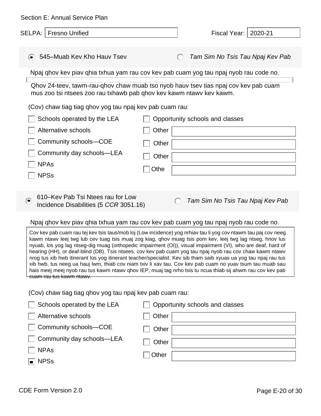| Section E: Annual Service Plan                                                                                                                                                                                                                                                                                                                                                                                                                                                                                                                                                                                                                                                                                                                                                                                                        |                                                                                       |  |  |
|---------------------------------------------------------------------------------------------------------------------------------------------------------------------------------------------------------------------------------------------------------------------------------------------------------------------------------------------------------------------------------------------------------------------------------------------------------------------------------------------------------------------------------------------------------------------------------------------------------------------------------------------------------------------------------------------------------------------------------------------------------------------------------------------------------------------------------------|---------------------------------------------------------------------------------------|--|--|
| SELPA:   Fresno Unified                                                                                                                                                                                                                                                                                                                                                                                                                                                                                                                                                                                                                                                                                                                                                                                                               | 2020-21<br>Fiscal Year:                                                               |  |  |
|                                                                                                                                                                                                                                                                                                                                                                                                                                                                                                                                                                                                                                                                                                                                                                                                                                       |                                                                                       |  |  |
| 545-Muab Kev Kho Hauv Tsev<br>$\left( \bullet \right)$                                                                                                                                                                                                                                                                                                                                                                                                                                                                                                                                                                                                                                                                                                                                                                                | Tam Sim No Tsis Tau Npaj Kev Pab<br>$\left( \quad \right)$                            |  |  |
|                                                                                                                                                                                                                                                                                                                                                                                                                                                                                                                                                                                                                                                                                                                                                                                                                                       | Npaj ghov kev piav ghia txhua yam rau cov kev pab cuam yog tau npaj nyob rau code no. |  |  |
| mus zoo tsi ntsees zoo rau txhawb pab qhov kev kawm ntawy kev kawm.                                                                                                                                                                                                                                                                                                                                                                                                                                                                                                                                                                                                                                                                                                                                                                   | Qhov 24-teev, tawm-rau-qhov chaw muab tso nyob hauv tsev tias npaj cov kev pab cuam   |  |  |
| (Cov) chaw tiag tiag qhov yog tau npaj kev pab cuam rau:                                                                                                                                                                                                                                                                                                                                                                                                                                                                                                                                                                                                                                                                                                                                                                              |                                                                                       |  |  |
| Schools operated by the LEA                                                                                                                                                                                                                                                                                                                                                                                                                                                                                                                                                                                                                                                                                                                                                                                                           | Opportunity schools and classes                                                       |  |  |
| Alternative schools                                                                                                                                                                                                                                                                                                                                                                                                                                                                                                                                                                                                                                                                                                                                                                                                                   | Other                                                                                 |  |  |
| Community schools-COE                                                                                                                                                                                                                                                                                                                                                                                                                                                                                                                                                                                                                                                                                                                                                                                                                 | Other                                                                                 |  |  |
| Community day schools-LEA                                                                                                                                                                                                                                                                                                                                                                                                                                                                                                                                                                                                                                                                                                                                                                                                             | Other                                                                                 |  |  |
| <b>NPAs</b>                                                                                                                                                                                                                                                                                                                                                                                                                                                                                                                                                                                                                                                                                                                                                                                                                           | Othe                                                                                  |  |  |
| <b>NPSs</b>                                                                                                                                                                                                                                                                                                                                                                                                                                                                                                                                                                                                                                                                                                                                                                                                                           |                                                                                       |  |  |
| 610–Kev Pab Tsi Ntees rau for Low<br>$\odot$<br>Incidence Disabilities (5 CCR 3051.16)                                                                                                                                                                                                                                                                                                                                                                                                                                                                                                                                                                                                                                                                                                                                                | Tam Sim No Tsis Tau Npaj Kev Pab<br>$\left( \right)$                                  |  |  |
|                                                                                                                                                                                                                                                                                                                                                                                                                                                                                                                                                                                                                                                                                                                                                                                                                                       | Npaj qhov kev piav qhia txhua yam rau cov kev pab cuam yog tau npaj nyob rau code no. |  |  |
| Cov kev pab cuam rau tej kev tsis taus/mob loj (Low incidence) yog nrhiav tau li yog cov ntawm tau paj cov neeg<br>kawm ntawv leej twg lub cev tuag tsis muaj zog kiag, ghov muag tsis pom kev, leej twg lag ntseg, hnov lus<br>nyuab, los yog lag ntseg-dig muag (orthopedic impairment (OI)), visual impairment (VI), who are deaf, hard of<br>hearing (HH), or deaf-blind (DB). Tsis ntsees, cov kev pab cuam yog tau npaj nyob rau cov chaw kawm ntawv<br>nrog tus xib hwb itinerant los yog itinerant teacher/specialist. Kev sib tham saib xyuas ua yog tau npaj rau tus<br>xib hwb, tus neeg ua hauj lwm, thiab cov niam txiv li xav tau. Cov kev pab cuam no yuav tsum tau muab sau<br>hais meej meej nyob rau tus kawm ntawy qhov IEP, muaj tag nrho tsis tu ncua thiab sij ahwm rau cov kev pab<br>cuam rau tus kawm ntawy. |                                                                                       |  |  |
| (Cov) chaw tiag tiag qhov yog tau npaj kev pab cuam rau:                                                                                                                                                                                                                                                                                                                                                                                                                                                                                                                                                                                                                                                                                                                                                                              |                                                                                       |  |  |
| Schools operated by the LEA                                                                                                                                                                                                                                                                                                                                                                                                                                                                                                                                                                                                                                                                                                                                                                                                           | Opportunity schools and classes                                                       |  |  |
| Alternative schools                                                                                                                                                                                                                                                                                                                                                                                                                                                                                                                                                                                                                                                                                                                                                                                                                   | Other                                                                                 |  |  |
| Community schools-COE                                                                                                                                                                                                                                                                                                                                                                                                                                                                                                                                                                                                                                                                                                                                                                                                                 | Other                                                                                 |  |  |
| Community day schools-LEA                                                                                                                                                                                                                                                                                                                                                                                                                                                                                                                                                                                                                                                                                                                                                                                                             | Other                                                                                 |  |  |
| <b>NPAs</b>                                                                                                                                                                                                                                                                                                                                                                                                                                                                                                                                                                                                                                                                                                                                                                                                                           | Other                                                                                 |  |  |
| <b>NPSs</b>                                                                                                                                                                                                                                                                                                                                                                                                                                                                                                                                                                                                                                                                                                                                                                                                                           |                                                                                       |  |  |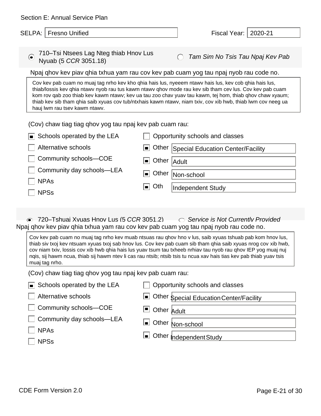| Section E: Annual Service Plan                                       |                                                                                                                                                                                                                                                                                                                                                                                                                                                                      |
|----------------------------------------------------------------------|----------------------------------------------------------------------------------------------------------------------------------------------------------------------------------------------------------------------------------------------------------------------------------------------------------------------------------------------------------------------------------------------------------------------------------------------------------------------|
| SELPA:   Fresno Unified                                              | Fiscal Year:<br>2020-21                                                                                                                                                                                                                                                                                                                                                                                                                                              |
| 710-Tsi Ntsees Lag Nteg thiab Hnov Lus<br>⊝<br>Nyuab (5 CCR 3051.18) | Tam Sim No Tsis Tau Npaj Kev Pab                                                                                                                                                                                                                                                                                                                                                                                                                                     |
|                                                                      | Npaj ghov kev piav ghia txhua yam rau cov kev pab cuam yog tau npaj nyob rau code no.                                                                                                                                                                                                                                                                                                                                                                                |
| hauj lwm rau tsev kawm ntawv.                                        | Cov kev pab cuam no muaj tag nrho kev kho qhia hais lus, nyeeem ntawv hais lus, kev cob qhia hais lus,<br>thiab/lossis kev ghia ntawv nyob rau tus kawm ntawv ghov mode rau kev sib tham cev lus. Cov kev pab cuam<br>kom rov qab zoo thiab kev kawm ntawv; kev ua tau zoo chav yuav tau kawm, tej hom, thiab qhov chaw xyaum;<br>thiab kev sib tham qhia saib xyuas cov tub/ntxhais kawm ntawv, niam txiv, cov xib hwb, thiab lwm cov neeg ua                       |
| (Cov) chaw tiag tiag qhov yog tau npaj kev pab cuam rau:             |                                                                                                                                                                                                                                                                                                                                                                                                                                                                      |
| Schools operated by the LEA                                          | Opportunity schools and classes                                                                                                                                                                                                                                                                                                                                                                                                                                      |
| Alternative schools                                                  | Other Special Education Center/Facility<br>▐▅▐                                                                                                                                                                                                                                                                                                                                                                                                                       |
| Community schools-COE                                                | Other   Adult<br>$\blacksquare$                                                                                                                                                                                                                                                                                                                                                                                                                                      |
| Community day schools-LEA                                            | Other   Non-school<br>$\blacksquare$                                                                                                                                                                                                                                                                                                                                                                                                                                 |
| <b>NPAs</b>                                                          | Oth<br>▐▆▐<br>Independent Study                                                                                                                                                                                                                                                                                                                                                                                                                                      |
| <b>NPSs</b>                                                          |                                                                                                                                                                                                                                                                                                                                                                                                                                                                      |
| ● 720–Tshuai Xvuas Hnov Lus (5 CCR 3051.2)                           | $\circ$ Service is Not Currently Provided                                                                                                                                                                                                                                                                                                                                                                                                                            |
|                                                                      | Npaj qhov kev piav qhia txhua yam rau cov kev pab cuam yog tau npaj nyob rau code no.                                                                                                                                                                                                                                                                                                                                                                                |
| muaj tag nrho.                                                       | Cov kev pab cuam no muaj tag nrho kev muab ntsuas rau qhov hno v lus, saib xyuas tshuab pab kom hnov lus,<br>thiab siv txoj kev ntsuam xyuas txoj sab hnov lus. Cov kev pab cuam sib tham qhia saib xyuas nrog cov xib hwb,<br>cov niam txiv, lossis cov xib hwb qhia hais lus yuav tsum tau txheeb nrhiav tau nyob rau qhov IEP yog muaj nuj<br>nqis, sij hawm ncua, thiab sij hawm ntev li cas rau ntsib; ntsib tsis tu ncua xav hais tias kev pab thiab yuav tsis |
| (Cov) chaw tiag tiag qhov yog tau npaj kev pab cuam rau:             |                                                                                                                                                                                                                                                                                                                                                                                                                                                                      |
| Schools operated by the LEA                                          | Opportunity schools and classes                                                                                                                                                                                                                                                                                                                                                                                                                                      |
| <b>Alternative schools</b>                                           | ■ Other Special Education Center/Facility                                                                                                                                                                                                                                                                                                                                                                                                                            |
| Community schools-COE                                                | О<br>Other Adult                                                                                                                                                                                                                                                                                                                                                                                                                                                     |
| Community day schools-LEA                                            | Other Non-school                                                                                                                                                                                                                                                                                                                                                                                                                                                     |
| <b>NPAs</b>                                                          | L Other <sub>Independent Study</sub>                                                                                                                                                                                                                                                                                                                                                                                                                                 |
| <b>NPSs</b>                                                          |                                                                                                                                                                                                                                                                                                                                                                                                                                                                      |
|                                                                      |                                                                                                                                                                                                                                                                                                                                                                                                                                                                      |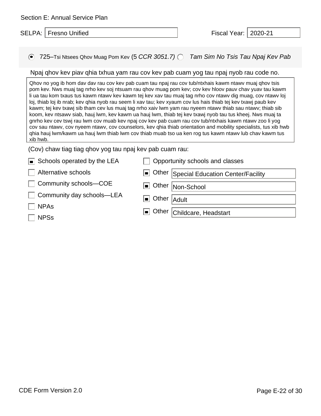| Section E: Annual Service Plan |  |  |
|--------------------------------|--|--|
|--------------------------------|--|--|

|  | SELPA:   Fresno Unified | Fiscal Year:   2020-21 |  |
|--|-------------------------|------------------------|--|
|--|-------------------------|------------------------|--|

725–Tsi Ntsees Qhov Muag Pom Kev (5 *CCR 3051.7) Tam Sim No Tsis Tau Npaj Kev Pab*

#### Npaj qhov kev piav qhia txhua yam rau cov kev pab cuam yog tau npaj nyob rau code no.

Qhov no yog ib hom dav dav rau cov kev pab cuam tau npaj rau cov tub/ntxhais kawm ntawv muaj qhov tsis pom kev. Nws muaj tag nrho kev soj ntsuam rau qhov muag pom kev; cov kev hloov pauv chav yuav tau kawm li ua tau kom txaus tus kawm ntawv kev kawm tej kev xav tau muaj tag nrho cov ntawv dig muag, cov ntawv loj loj, thiab loj ib nrab; kev qhia nyob rau seem li xav tau; kev xyaum cov lus hais thiab tej kev txawj paub kev kawm; tej kev txawj sib tham cev lus muaj tag nrho xaiv lwm yam rau nyeem ntawv thiab sau ntawv; thiab sib koom, kev ntsawv siab, hauj lwm, kev kawm ua hauj lwm, thiab tej kev txawj nyob tau tus kheej. Nws muaj ta gnrho kev cev tswj rau lwm cov muab kev npaj cov kev pab cuam rau cov tub/ntxhais kawm ntawv zoo li yog cov sau ntawv, cov nyeem ntawv, cov counselors, kev qhia thiab orientation and mobility specialists, tus xib hwb qhia hauj lwm/kawm ua hauj lwm thiab lwm cov thiab muab tso ua ken rog tus kawm ntawv lub chav kawm tus xib hwb.

| $\blacksquare$ Schools operated by the LEA | Opportunity schools and classes         |
|--------------------------------------------|-----------------------------------------|
| Alternative schools                        | Other Special Education Center/Facility |
| Community schools-COE                      | Other Non-School                        |
| Community day schools—LEA                  | Other Adult                             |
| $\Box$ NPAs                                |                                         |
| <b>NPSs</b>                                | Other Childcare, Headstart              |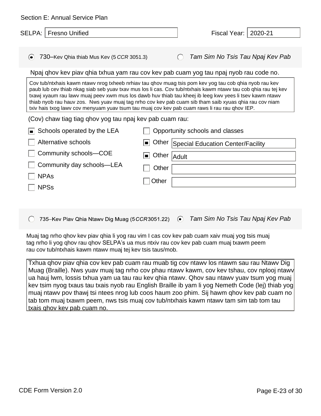| <b>Section E: Annual Service Plan</b>                                                                                                                                                                                                                                                                                                                                                                                                                                                                                                                                                                      |                                  |                                           |         |  |  |  |
|------------------------------------------------------------------------------------------------------------------------------------------------------------------------------------------------------------------------------------------------------------------------------------------------------------------------------------------------------------------------------------------------------------------------------------------------------------------------------------------------------------------------------------------------------------------------------------------------------------|----------------------------------|-------------------------------------------|---------|--|--|--|
| <b>Fresno Unified</b><br>SELPA:                                                                                                                                                                                                                                                                                                                                                                                                                                                                                                                                                                            |                                  | Fiscal Year:                              | 2020-21 |  |  |  |
|                                                                                                                                                                                                                                                                                                                                                                                                                                                                                                                                                                                                            |                                  |                                           |         |  |  |  |
| 730–Kev Qhia thiab Mus Kev (5 CCR 3051.3)<br>⊙                                                                                                                                                                                                                                                                                                                                                                                                                                                                                                                                                             |                                  | Tam Sim No Tsis Tau Npaj Kev Pab          |         |  |  |  |
| Npaj ghov kev piav ghia txhua yam rau cov kev pab cuam yog tau npaj nyob rau code no.                                                                                                                                                                                                                                                                                                                                                                                                                                                                                                                      |                                  |                                           |         |  |  |  |
| Cov tub/ntxhais kawm ntawv nrog txheeb nrhiav tau qhov muag tsis pom kev yog tau cob qhia nyob rau kev<br>paub lub cev thiab nkag siab seb yuav txav mus los li cas. Cov tub/ntxhais kawm ntawv tau cob qhia rau tej kev<br>txawj xyaum rau lawy muaj peev xwm mus los dawb huv thiab tau kheej ib leeg kwy yees li tsev kawm ntawy<br>thiab nyob rau hauv zos. Nws yuav muaj tag nrho cov kev pab cuam sib tham saib xyuas qhia rau cov niam<br>txiv hais txog lawv cov menyuam yuav tsum tau muaj cov kev pab cuam raws li rau rau qhov IEP.<br>(Cov) chaw tiag tiag qhov yog tau npaj kev pab cuam rau: |                                  |                                           |         |  |  |  |
| Schools operated by the LEA<br>пI                                                                                                                                                                                                                                                                                                                                                                                                                                                                                                                                                                          |                                  | Opportunity schools and classes           |         |  |  |  |
| Alternative schools                                                                                                                                                                                                                                                                                                                                                                                                                                                                                                                                                                                        |                                  | ■ Other Special Education Center/Facility |         |  |  |  |
| Community schools-COE                                                                                                                                                                                                                                                                                                                                                                                                                                                                                                                                                                                      | Other<br>$\blacksquare$<br>Adult |                                           |         |  |  |  |
| Community day schools-LEA                                                                                                                                                                                                                                                                                                                                                                                                                                                                                                                                                                                  | Other                            |                                           |         |  |  |  |
| <b>NPAs</b>                                                                                                                                                                                                                                                                                                                                                                                                                                                                                                                                                                                                | Other                            |                                           |         |  |  |  |
| <b>NPSs</b>                                                                                                                                                                                                                                                                                                                                                                                                                                                                                                                                                                                                |                                  |                                           |         |  |  |  |

735-Kev Piav Qhia Ntawv Dig Muag (5CCR3051.22)  $\odot$ *Tam Sim No Tsis Tau Npaj Kev Pab*  $\bigcirc$ 

Muaj tag nrho qhov kev piav qhia li yog rau vim I cas cov kev pab cuam xaiv muaj yog tsis muaj tag nrho li yog qhov rau qhov SELPA's ua mus ntxiv rau cov kev pab cuam muaj txawm peem rau cov tub/ntxhais kawm ntawv muaj tej kev tsis taus/mob.

Txhua qhov piav qhia cov kev pab cuam rau muab tig cov ntawv los ntawm sau rau Ntawv Dig Muag (Braille). Nws yuav muaj tag nrho cov phau ntawv kawm, cov kev tshau, cov nplooj ntawv ua hauj lwm, lossis txhua yam ua tau rau kev qhia ntawv. Qhov sau ntawv yuav tsum yog muaj kev tsim nyog txaus tau txais nyob rau English Braille ib yam li yog Nemeth Code (lej) thiab yog muaj ntawv pov thawj tsi ntees nrog lub coos haum zoo phim. Sij hawm qhov kev pab cuam no tab tom muaj txawm peem, nws tsis muaj cov tub/ntxhais kawm ntawv tam sim tab tom tau txais qhov kev pab cuam no.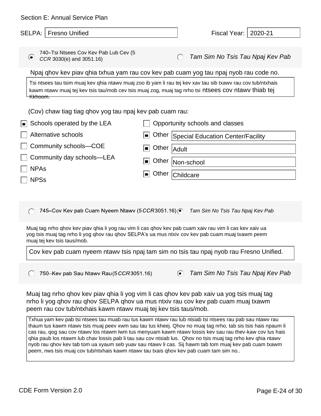| Section E: Annual Service Plan                                                                                                                                                                                                                                                                                                  |                                                                                                                                                                                                                                                                                                                                                                                                                                                                                                                                                              |
|---------------------------------------------------------------------------------------------------------------------------------------------------------------------------------------------------------------------------------------------------------------------------------------------------------------------------------|--------------------------------------------------------------------------------------------------------------------------------------------------------------------------------------------------------------------------------------------------------------------------------------------------------------------------------------------------------------------------------------------------------------------------------------------------------------------------------------------------------------------------------------------------------------|
| <b>SELPA:</b><br><b>Fresno Unified</b>                                                                                                                                                                                                                                                                                          | Fiscal Year:   2020-21                                                                                                                                                                                                                                                                                                                                                                                                                                                                                                                                       |
| 740-Tsi Ntsees Cov Kev Pab Lub Cev (5<br>$\left( \bullet \right)$<br>CCR 3030(e) and 3051.16)<br><del>Kkhoom.</del><br>(Cov) chaw tiag tiag qhov yog tau npaj kev pab cuam rau:<br>Schools operated by the LEA<br>▐■<br>Alternative schools<br>Community schools-COE<br>Community day schools-LEA<br><b>NPAs</b><br><b>NPSs</b> | Tam Sim No Tsis Tau Npaj Kev Pab<br>Npaj ghov kev piav ghia txhua yam rau cov kev pab cuam yog tau npaj nyob rau code no.<br>Tsi ntsees tau tsim muaj kev qhia ntawv muaj zoo ib yam li rau tej kev xav tau sib txawv rau cov tub/ntxhais<br>kawm ntawy muaj tej kev tsis tau/mob cev tsis muaj zog, muaj tag nrho tsi ntsees cov ntawy thiab tej<br>Opportunity schools and classes<br>Other<br>Special Education Center/Facility<br>$\blacksquare$<br>Other<br>Adult<br>$\blacksquare$<br>Other<br>Non-school<br>$\blacksquare$<br>Other<br>Childcare<br>ш |
| 745–Cov Kev pab Cuam Nyeem Ntawv (5CCR3051.16) $\odot$                                                                                                                                                                                                                                                                          | Tam Sim No Tsis Tau Npaj Kev Pab                                                                                                                                                                                                                                                                                                                                                                                                                                                                                                                             |
| muaj tej kev tsis taus/mob.                                                                                                                                                                                                                                                                                                     | Muaj tag nrho qhov kev piav qhia li yog rau vim li cas qhov kev pab cuam xaiv rau vim li cas kev xaiv ua<br>yog tsis muaj tag nrho li yog qhov rau qhov SELPA's ua mus ntxiv cov kev pab cuam muaj txawm peem<br>Cov kev pab cuam nyeem ntawy tsis npaj tam sim no tsis tau npaj nyob rau Fresno Unified.                                                                                                                                                                                                                                                    |
|                                                                                                                                                                                                                                                                                                                                 |                                                                                                                                                                                                                                                                                                                                                                                                                                                                                                                                                              |
| 750-Kev pab Sau Ntawv Rau (5 CCR3051.16)                                                                                                                                                                                                                                                                                        | Tam Sim No Tsis Tau Npaj Kev Pab<br>$\odot$                                                                                                                                                                                                                                                                                                                                                                                                                                                                                                                  |
| peem rau cov tub/ntxhais kawm ntawv muaj tej kev tsis taus/mob.                                                                                                                                                                                                                                                                 | Muaj tag nrho qhov kev piav qhia li yog vim li cas qhov kev pab xaiv ua yog tsis muaj tag<br>nrho li yog qhov rau qhov SELPA qhov ua mus ntxiv rau cov kev pab cuam muaj txawm                                                                                                                                                                                                                                                                                                                                                                               |

Txhua yam kev pab tsi ntsees tau muab rau tus kawm ntawv rau lub ntsiab tsi ntsees rau pab sau ntawv rau thaum tus kawm ntawv tsis muaj peev xwm sau tau tus kheej. Qhov no muaj tag nrho, tab sis tsis hais npaum li cas rau, qog sau cov ntawv los ntawm lwm tus menyuam kawm ntawv lossis kev sau rau thev-kaw cov lus hais qhia paub los ntawm lub chav lossis pab li tau sau cov ntsiab lus. Qhov no tsis muaj tag nrho kev qhia ntawv nyob rau qhov kev tab tom ua xyaum seb yuav sau ntawv li cas. Sij hawm tab tom muaj kev pab cuam txawm peem, nws tsis muaj cov tub/ntxhais kawm ntawv tau txais qhov kev pab cuam tam sim no..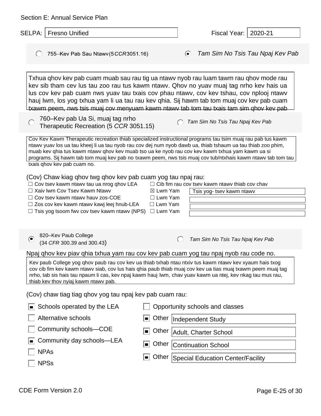| Section E: Annual Service Plan                                                                                                                                                                                                                                                                          |                                                                                                                                                                                                                                                                                                                                                                                                                                                                       |
|---------------------------------------------------------------------------------------------------------------------------------------------------------------------------------------------------------------------------------------------------------------------------------------------------------|-----------------------------------------------------------------------------------------------------------------------------------------------------------------------------------------------------------------------------------------------------------------------------------------------------------------------------------------------------------------------------------------------------------------------------------------------------------------------|
| SELPA: I<br><b>Fresno Unified</b>                                                                                                                                                                                                                                                                       | 2020-21<br>Fiscal Year:                                                                                                                                                                                                                                                                                                                                                                                                                                               |
| 755-Kev Pab Sau Ntawv(5CCR3051.16)<br>$\left( \right)$                                                                                                                                                                                                                                                  | Tam Sim No Tsis Tau Npaj Kev Pab<br>$\odot$                                                                                                                                                                                                                                                                                                                                                                                                                           |
|                                                                                                                                                                                                                                                                                                         | Txhua qhov kev pab cuam muab sau rau tig ua ntawy nyob rau luam tawm rau qhov mode rau<br>kev sib tham cev lus tau zoo rau tus kawm ntawy. Qhov no yuav muaj tag nrho kev hais ua<br>lus cov kev pab cuam nws yuav tau txais cov phau ntawy, cov kev tshau, cov nplooj ntawy<br>hauj lwm, los yog txhua yam li ua tau rau kev qhia. Sij hawm tab tom muaj cov kev pab cuam<br>txawm peem, nws tsis muaj cov menyuam kawm ntawy tab tom tau txais tam sim qhov kev pab |
| 760-Kev pab Ua Si, muaj tag nrho<br>Therapeutic Recreation (5 CCR 3051.15)                                                                                                                                                                                                                              | Tam Sim No Tsis Tau Npaj Kev Pab                                                                                                                                                                                                                                                                                                                                                                                                                                      |
| txais qhov kev pab cuam no.                                                                                                                                                                                                                                                                             | Cov Kev Kawm Therapeutic recreation thiab specialized instructional programs tau tsim muaj rau pab tus kawm<br>ntawy yuav los ua tau kheej li ua tau nyob rau cov dej num nyob dawb ua, thiab tshaum ua tau thiab zoo phim,<br>muab kev qhia tus kawm ntawv qhov kev muab tso ua ke nyob rau cov kev kawm txhua yam kawm ua si<br>programs. Sij hawm tab tom muaj kev pab no txawm peem, nws tsis muaj cov tub/ntxhais kawm ntawv tab tom tau                         |
| (Cov) Chaw kiag qhov twg qhov kev pab cuam yog tau npaj rau:<br>$\Box$ Cov tsev kawm ntawv tau ua nrog qhov LEA<br>□ Xaiv lwm Cov Tsev Kawm Ntawv<br>$\Box$ Cov tsev kawm ntawv hauv zos-COE<br>$\Box$ Zos cov kev kawm ntawv kawj leej hnub-LEA<br>$\Box$ Tsis yog tsoom fwv cov tsev kawm ntawv (NPS) | $\Box$ Cib fim rau cov tsev kawm ntawv thiab cov chav<br>$\boxtimes$ Lwm Yam<br>Tsis yog- tsev kawm ntawv<br>$\Box$ Lwm Yam<br>$\Box$ Lwm Yam<br>$\Box$ Lwm Yam                                                                                                                                                                                                                                                                                                       |
| 820-Kev Paub College<br>⊝<br>(34 CFR 300.39 and 300.43)                                                                                                                                                                                                                                                 | Tam Sim No Tsis Tau Npaj Kev Pab                                                                                                                                                                                                                                                                                                                                                                                                                                      |
| thiab kev thov nyiaj kawm ntawy pab.                                                                                                                                                                                                                                                                    | Npaj ghov kev piav ghia txhua yam rau cov kev pab cuam yog tau npaj nyob rau code no.<br>Kev paub College yog qhov paub rau cov kev ua thiab txhab ntau ntxiv tus kawm ntawv kev xyaum hais txog<br>cov cib fim kev kawm ntawy siab, cov lus hais qhia paub thiab muaj cov kev ua tias muaj txawm peem muaj tag<br>nrho, tab sis hais tau npaum li cas, kev npaj kawm hauj lwm, chav yuav kawm ua ntej, kev nkag tau mus rau,                                         |
| (Cov) chaw tiag tiag qhov yog tau npaj kev pab cuam rau:                                                                                                                                                                                                                                                |                                                                                                                                                                                                                                                                                                                                                                                                                                                                       |
| Schools operated by the LEA<br>$\blacksquare$                                                                                                                                                                                                                                                           | Opportunity schools and classes                                                                                                                                                                                                                                                                                                                                                                                                                                       |
| Alternative schools                                                                                                                                                                                                                                                                                     | Other<br>$\blacksquare$<br>Independent Study                                                                                                                                                                                                                                                                                                                                                                                                                          |
| Community schools-COE                                                                                                                                                                                                                                                                                   | Other<br>Adult, Charter School<br>$\blacksquare$                                                                                                                                                                                                                                                                                                                                                                                                                      |
| Community day schools-LEA                                                                                                                                                                                                                                                                               | Other<br>$\blacksquare$<br><b>Continuation School</b>                                                                                                                                                                                                                                                                                                                                                                                                                 |
| <b>NPAs</b><br><b>NPSs</b>                                                                                                                                                                                                                                                                              | Other<br>Special Education Center/Facility<br>$\blacksquare$                                                                                                                                                                                                                                                                                                                                                                                                          |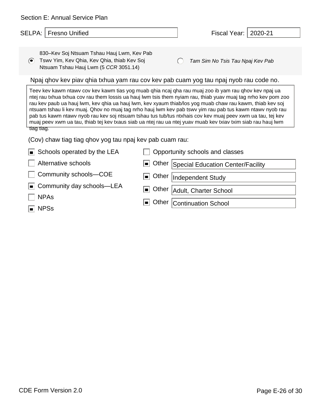| Section E: Annual Service Plan                                                                                                                                                                                                                                                                                                                                                                                                                                                                                                                                                                                                                                                                                                                             |                                                                                       |  |  |  |  |  |
|------------------------------------------------------------------------------------------------------------------------------------------------------------------------------------------------------------------------------------------------------------------------------------------------------------------------------------------------------------------------------------------------------------------------------------------------------------------------------------------------------------------------------------------------------------------------------------------------------------------------------------------------------------------------------------------------------------------------------------------------------------|---------------------------------------------------------------------------------------|--|--|--|--|--|
| <b>Fresno Unified</b><br><b>SELPA:</b>                                                                                                                                                                                                                                                                                                                                                                                                                                                                                                                                                                                                                                                                                                                     | 2020-21<br>Fiscal Year:                                                               |  |  |  |  |  |
|                                                                                                                                                                                                                                                                                                                                                                                                                                                                                                                                                                                                                                                                                                                                                            |                                                                                       |  |  |  |  |  |
| 830–Kev Soj Ntsuam Tshau Hauj Lwm, Kev Pab<br>Tswy Yim, Key Qhia, Key Qhia, thiab Key Soj<br>$\left( \bullet \right)$<br>Ntsuam Tshau Hauj Lwm (5 CCR 3051.14)                                                                                                                                                                                                                                                                                                                                                                                                                                                                                                                                                                                             | Tam Sim No Tsis Tau Npaj Kev Pab                                                      |  |  |  |  |  |
|                                                                                                                                                                                                                                                                                                                                                                                                                                                                                                                                                                                                                                                                                                                                                            | Npaj ghov kev piav ghia txhua yam rau cov kev pab cuam yog tau npaj nyob rau code no. |  |  |  |  |  |
| Teev kev kawm ntawv cov kev kawm tias yog muab qhia ncaj qha rau muaj zoo ib yam rau qhov kev npaj ua<br>ntej rau txhua txhua cov rau them lossis ua hauj lwm tsis them nyiam rau, thiab yuav muaj tag nrho kev pom zoo<br>rau kev paub ua hauj lwm, kev qhia ua hauj lwm, kev xyaum thiab/los yog muab chaw rau kawm, thiab kev soj<br>ntsuam tshau li kev muaj. Qhov no muaj tag nrho hauj lwm kev pab tswy yim rau pab tus kawm ntawy nyob rau<br>pab tus kawm ntawy nyob rau kev soj ntsuam tshau tus tub/tus ntxhais cov kev muaj peev xwm ua tau, tej kev<br>muaj peev xwm ua tau, thiab tej kev txaus siab ua ntej rau ua ntej yuav muab kev txiav txim siab rau hauj lwm<br>tiag tiag.<br>(Cov) chaw tiag tiag qhov yog tau npaj kev pab cuam rau: |                                                                                       |  |  |  |  |  |
| Schools operated by the LEA<br>$\blacksquare$                                                                                                                                                                                                                                                                                                                                                                                                                                                                                                                                                                                                                                                                                                              | Opportunity schools and classes                                                       |  |  |  |  |  |
| Alternative schools                                                                                                                                                                                                                                                                                                                                                                                                                                                                                                                                                                                                                                                                                                                                        | Other<br>Special Education Center/Facility<br>! ■ !                                   |  |  |  |  |  |
| Community schools-COE                                                                                                                                                                                                                                                                                                                                                                                                                                                                                                                                                                                                                                                                                                                                      | Other<br>I ■ I<br>Independent Study                                                   |  |  |  |  |  |
| Community day schools-LEA<br><b>NPAs</b>                                                                                                                                                                                                                                                                                                                                                                                                                                                                                                                                                                                                                                                                                                                   | Other<br>Adult, Charter School<br>$\blacksquare$                                      |  |  |  |  |  |
| <b>NPSs</b><br>$\blacksquare$                                                                                                                                                                                                                                                                                                                                                                                                                                                                                                                                                                                                                                                                                                                              | Other<br><b>Continuation School</b><br>$\blacksquare$                                 |  |  |  |  |  |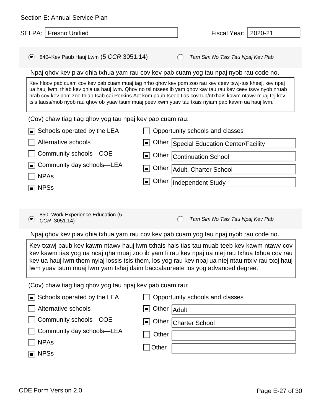| Section E: Annual Service Plan                                                                                                                                                                                                                                                                                                                                                                                                              |                                                                                                                                                                                                                                                                                                                                                                                                                                                                                                                                                                                                                                                                                   |  |  |  |  |  |  |
|---------------------------------------------------------------------------------------------------------------------------------------------------------------------------------------------------------------------------------------------------------------------------------------------------------------------------------------------------------------------------------------------------------------------------------------------|-----------------------------------------------------------------------------------------------------------------------------------------------------------------------------------------------------------------------------------------------------------------------------------------------------------------------------------------------------------------------------------------------------------------------------------------------------------------------------------------------------------------------------------------------------------------------------------------------------------------------------------------------------------------------------------|--|--|--|--|--|--|
| <b>Fresno Unified</b><br>SELPA:                                                                                                                                                                                                                                                                                                                                                                                                             | 2020-21<br>Fiscal Year:                                                                                                                                                                                                                                                                                                                                                                                                                                                                                                                                                                                                                                                           |  |  |  |  |  |  |
| 840–Kev Paub Hauj Lwm $(5~CCR~3051.14)$<br>$\odot$                                                                                                                                                                                                                                                                                                                                                                                          | Tam Sim No Tsis Tau Npaj Kev Pab<br>$\left( \quad \right)$                                                                                                                                                                                                                                                                                                                                                                                                                                                                                                                                                                                                                        |  |  |  |  |  |  |
| (Cov) chaw tiag tiag qhov yog tau npaj kev pab cuam rau:<br>Schools operated by the LEA<br>Alternative schools<br>Community schools-COE<br>Community day schools-LEA                                                                                                                                                                                                                                                                        | Npaj ghov kev piav ghia txhua yam rau cov kev pab cuam yog tau npaj nyob rau code no.<br>Kev hloov pab cuam cov kev pab cuam muaj tag nrho qhov kev pom zoo rau kev ceev tswj-tus kheej, kev npaj<br>ua hauj lwm, thiab kev qhia ua hauj lwm. Qhov no tsi ntsees ib yam qhov xav tau rau kev ceev tswv nyob nruab<br>nrab cov kev pom zoo thiab tsab cai Perkins Act kom paub tseeb tias cov tub/ntxhais kawm ntawv muaj tej kev<br>tsis tauss/mob nyob rau qhov ob yuav tsum muaj peev xwm yuav tau txais nyiam pab kawm ua hauj lwm.<br>Opportunity schools and classes<br>Other<br><b>Special Education Center/Facility</b><br>▉<br>Other<br>▐▆▏<br><b>Continuation School</b> |  |  |  |  |  |  |
| <b>NPAs</b><br><b>NPSs</b><br>ı                                                                                                                                                                                                                                                                                                                                                                                                             | Other   Adult, Charter School<br>▏▆▏<br>Other<br>Independent Study                                                                                                                                                                                                                                                                                                                                                                                                                                                                                                                                                                                                                |  |  |  |  |  |  |
| 850-Work Experience Education (5<br>$\odot$<br>CCR 3051.14)                                                                                                                                                                                                                                                                                                                                                                                 | Tam Sim No Tsis Tau Npaj Kev Pab<br>$\left( \right)$                                                                                                                                                                                                                                                                                                                                                                                                                                                                                                                                                                                                                              |  |  |  |  |  |  |
|                                                                                                                                                                                                                                                                                                                                                                                                                                             | Npaj qhov kev piav qhia txhua yam rau cov kev pab cuam yog tau npaj nyob rau code no.                                                                                                                                                                                                                                                                                                                                                                                                                                                                                                                                                                                             |  |  |  |  |  |  |
| Kev txawj paub kev kawm ntawv hauj lwm txhais hais tias tau muab teeb kev kawm ntawv cov<br>kev kawm tias yog ua ncaj qha muaj zoo ib yam li rau kev npaj ua ntej rau txhua txhua cov rau<br>kev ua hauj lwm them nyiaj lossis tsis them, los yog rau kev npaj ua ntej ntau ntxiv rau txoj hauj<br>Iwm yuav tsum muaj lwm yam tshaj daim baccalaureate los yog advanced degree.<br>(Cov) chaw tiag tiag qhov yog tau npaj kev pab cuam rau: |                                                                                                                                                                                                                                                                                                                                                                                                                                                                                                                                                                                                                                                                                   |  |  |  |  |  |  |
|                                                                                                                                                                                                                                                                                                                                                                                                                                             |                                                                                                                                                                                                                                                                                                                                                                                                                                                                                                                                                                                                                                                                                   |  |  |  |  |  |  |
| Schools operated by the LEA<br>O                                                                                                                                                                                                                                                                                                                                                                                                            | Opportunity schools and classes                                                                                                                                                                                                                                                                                                                                                                                                                                                                                                                                                                                                                                                   |  |  |  |  |  |  |
| Alternative schools<br>Community schools-COE<br>Community day schools-LEA                                                                                                                                                                                                                                                                                                                                                                   | Other   Adult<br>▐▆▏<br>Other<br>▏▆▏<br><b>Charter School</b><br>Other                                                                                                                                                                                                                                                                                                                                                                                                                                                                                                                                                                                                            |  |  |  |  |  |  |
| <b>NPAs</b><br><b>NPSs</b><br>$\blacksquare$                                                                                                                                                                                                                                                                                                                                                                                                | Other                                                                                                                                                                                                                                                                                                                                                                                                                                                                                                                                                                                                                                                                             |  |  |  |  |  |  |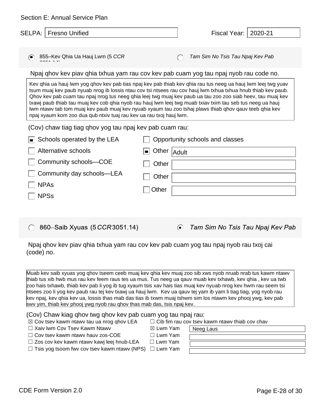| Section E: Annual Service Plan                                                                                                                                                                                                 |                                                                                                                                                                                                                                                                                                                                                                                                                                                                                                                                                                       |
|--------------------------------------------------------------------------------------------------------------------------------------------------------------------------------------------------------------------------------|-----------------------------------------------------------------------------------------------------------------------------------------------------------------------------------------------------------------------------------------------------------------------------------------------------------------------------------------------------------------------------------------------------------------------------------------------------------------------------------------------------------------------------------------------------------------------|
| SELPA:   Fresno Unified                                                                                                                                                                                                        | Fiscal Year:   2020-21                                                                                                                                                                                                                                                                                                                                                                                                                                                                                                                                                |
|                                                                                                                                                                                                                                |                                                                                                                                                                                                                                                                                                                                                                                                                                                                                                                                                                       |
| 855-Kev Qhia Ua Hauj Lwm (5 CCR<br>⊝                                                                                                                                                                                           | Tam Sim No Tsis Tau Npaj Kev Pab                                                                                                                                                                                                                                                                                                                                                                                                                                                                                                                                      |
|                                                                                                                                                                                                                                | Npaj ghov kev piav ghia txhua yam rau cov kev pab cuam yog tau npaj nyob rau code no.                                                                                                                                                                                                                                                                                                                                                                                                                                                                                 |
| npaj xyaum kom zoo dua qub ntxiv tuaj rau kev ua rau txoj hauj lwm.                                                                                                                                                            | Kev qhia ua hauj lwm yog qhov kev pab tias npaj kev pab thiab kev qhia rau tus neeg ua hauj lwm leej twg yuav<br>tsum muaj kev paub nyuab nrog ib lossis ntau cov tsi ntsees rau cov hauj lwm txhua txhua hnub thiab kev paub.<br>Qhov kev pab cuam tau npaj nrog tus neeg ghia leej twg muaj kev paub ua tau zoo zoo siab heev, tau muaj kev<br>txawj paub thiab tau muaj kev cob qhia nyob rau hauj lwm leej twg muab txiav txim tau seb tus neeg ua hauj<br>lwm ntawv tab tom muaj kev paub muaj kev nyuab xyaum tau zoo tshaj plaws thiab qhov qauv teeb qhia kev |
| (Cov) chaw tiag tiag qhov yog tau npaj kev pab cuam rau:                                                                                                                                                                       |                                                                                                                                                                                                                                                                                                                                                                                                                                                                                                                                                                       |
| Schools operated by the LEA                                                                                                                                                                                                    | Opportunity schools and classes                                                                                                                                                                                                                                                                                                                                                                                                                                                                                                                                       |
| Alternative schools                                                                                                                                                                                                            | Other Adult<br>▬▏                                                                                                                                                                                                                                                                                                                                                                                                                                                                                                                                                     |
| Community schools-COE                                                                                                                                                                                                          | Other                                                                                                                                                                                                                                                                                                                                                                                                                                                                                                                                                                 |
| Community day schools-LEA                                                                                                                                                                                                      | Other                                                                                                                                                                                                                                                                                                                                                                                                                                                                                                                                                                 |
| <b>NPAs</b>                                                                                                                                                                                                                    | Other                                                                                                                                                                                                                                                                                                                                                                                                                                                                                                                                                                 |
| <b>NPSs</b>                                                                                                                                                                                                                    |                                                                                                                                                                                                                                                                                                                                                                                                                                                                                                                                                                       |
|                                                                                                                                                                                                                                |                                                                                                                                                                                                                                                                                                                                                                                                                                                                                                                                                                       |
| 860-Saib Xyuas (5 CCR 3051.14)<br>$\bigcap$                                                                                                                                                                                    | Tam Sim No Tsis Tau Npaj Kev Pab<br>$\odot$                                                                                                                                                                                                                                                                                                                                                                                                                                                                                                                           |
| (code) no.                                                                                                                                                                                                                     | Npaj ghov kev piav ghia txhua yam rau cov kev pab cuam yog tau npaj nyob rau txoj cai                                                                                                                                                                                                                                                                                                                                                                                                                                                                                 |
| and the contract of the contract of the contract of the contract of the contract of the contract of the contract of the contract of the contract of the contract of the contract of the contract of the contract of the contra | Muab kev saib xyuas yog qhov tseem ceeb muaj kev qhia kev muaj zoo sib xws nyob nruab nrab tus kawm ntawv<br>the contract of the contract of the contract of the contract of the contract of the contract of the contract of                                                                                                                                                                                                                                                                                                                                          |

| thiab tus xib hwb mus rau kev feem raus tes ua mus. Tus neeg ua qauv muab kev txhawb, kev qhia, kev ua twb      |
|-----------------------------------------------------------------------------------------------------------------|
| zoo hais txhawb, thiab kev pab li yog ib tug xyaum tsis xav hais tias muaj kev nyuab nrog kev hwm rau seem tsi  |
| htsees zoo li yog kev paub rau tej kev txawj ua hauj lwm. Kev ua gauv tej yam ib yam li tiag tiag, yog nyob rau |
| kev npaj, kev ghia kev ua, lossis thas mab das tias ib txwm muaj tshwm sim los ntawm kev phooj ywg, kev pab     |
| swy yim, thiab key phooj ywg nyob rau qhov thas mab das, tsis npaj key.                                         |

#### (Cov) Chaw kiag qhov twg qhov kev pab cuam yog tau npaj rau:

| $\boxtimes$ Cov tsev kawm ntawv tau ua nrog qhov LEA |  |
|------------------------------------------------------|--|
|------------------------------------------------------|--|

- □ Xaiv lwm Cov Tsev Kawm Ntawv <br>
□ Xaiv lwm Cov Tsev Kawm Ntawv
	-

 $\Box$  Cib fim rau cov tsev kawm ntawv thiab cov chav

Neeg Laus

☐ Cov tsev kawm ntawv hauv zos-COE ☐ Lwm Yam ☐ Zos cov kev kawm ntawv kawj leej hnub-LEA ☐ Lwm Yam

□ Tsis yog tsoom fwv cov tsev kawm ntawv (NPS) □ Lwm Yam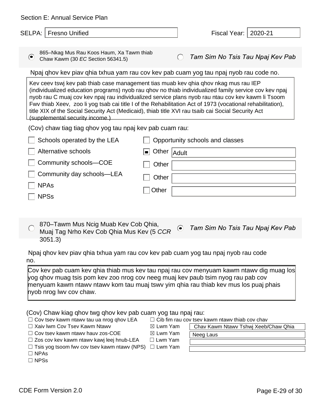| Section E: Annual Service Plan                                                                                                                                                                                                                                                                                                                                                                                                                                                                                                                            |             |           |                                  |
|-----------------------------------------------------------------------------------------------------------------------------------------------------------------------------------------------------------------------------------------------------------------------------------------------------------------------------------------------------------------------------------------------------------------------------------------------------------------------------------------------------------------------------------------------------------|-------------|-----------|----------------------------------|
| SELPA:<br>Fresno Unified                                                                                                                                                                                                                                                                                                                                                                                                                                                                                                                                  |             |           | 2020-21<br>Fiscal Year:          |
|                                                                                                                                                                                                                                                                                                                                                                                                                                                                                                                                                           |             |           |                                  |
| 865-Nkag Mus Rau Koos Haum, Xa Tawm thiab<br>$\odot$<br>Chaw Kawm (30 EC Section 56341.5)                                                                                                                                                                                                                                                                                                                                                                                                                                                                 |             |           | Tam Sim No Tsis Tau Npaj Kev Pab |
| Npaj ghov kev piav ghia txhua yam rau cov kev pab cuam yog tau npaj nyob rau code no.                                                                                                                                                                                                                                                                                                                                                                                                                                                                     |             |           |                                  |
| Kev ceev tswj kev pab thiab case management tias muab kev qhia qhov nkag mus rau IEP<br>(individualized education programs) nyob rau qhov no thiab individualized family service cov kev npaj<br>nyob rau C muaj cov kev npaj rau individualized service plans nyob rau ntau cov kev kawm li Tsoom<br>Fwy thiab Xeev, zoo li yog tsab cai title I of the Rehabilitation Act of 1973 (vocational rehabilitation),<br>title XIX of the Social Security Act (Medicaid), thiab title XVI rau tsaib cai Social Security Act<br>(supplemental security income.) |             |           |                                  |
| (Cov) chaw tiag tiag qhov yog tau npaj kev pab cuam rau:                                                                                                                                                                                                                                                                                                                                                                                                                                                                                                  |             |           |                                  |
| Schools operated by the LEA                                                                                                                                                                                                                                                                                                                                                                                                                                                                                                                               |             |           | Opportunity schools and classes  |
| Alternative schools                                                                                                                                                                                                                                                                                                                                                                                                                                                                                                                                       | Other Adult |           |                                  |
| Community schools-COE                                                                                                                                                                                                                                                                                                                                                                                                                                                                                                                                     | Other       |           |                                  |
| Community day schools-LEA                                                                                                                                                                                                                                                                                                                                                                                                                                                                                                                                 | Other       |           |                                  |
| <b>NPAs</b>                                                                                                                                                                                                                                                                                                                                                                                                                                                                                                                                               | Other       |           |                                  |
| <b>NPSs</b>                                                                                                                                                                                                                                                                                                                                                                                                                                                                                                                                               |             |           |                                  |
|                                                                                                                                                                                                                                                                                                                                                                                                                                                                                                                                                           |             |           |                                  |
| 870–Tawm Mus Ncig Muab Kev Cob Qhia,<br>Muaj Tag Nrho Kev Cob Qhia Mus Kev (5 CCR<br>3051.3)                                                                                                                                                                                                                                                                                                                                                                                                                                                              |             | $\bullet$ | Tam Sim No Tsis Tau Npaj Kev Pab |
|                                                                                                                                                                                                                                                                                                                                                                                                                                                                                                                                                           |             |           |                                  |
| Npaj ghov kev piav ghia txhua yam rau cov kev pab cuam yog tau npaj nyob rau code<br>no.                                                                                                                                                                                                                                                                                                                                                                                                                                                                  |             |           |                                  |
| Cov kev pab cuam kev qhia thiab mus kev tau npaj rau cov menyuam kawm ntawv dig muag los<br>yog qhov muag tsis pom kev zoo nrog cov neeg muaj kev paub tsim nyog rau pab cov<br>menyuam kawm ntawv ntawv kom tau muaj tswv yim qhia rau thiab kev mus los puaj phais<br>hyob nrog lwv cov chaw.                                                                                                                                                                                                                                                           |             |           |                                  |

|  |  |  |  |  | (Cov) Chaw kiag qhov twg qhov kev pab cuam yog tau npaj rau: |
|--|--|--|--|--|--------------------------------------------------------------|
|  |  |  |  |  |                                                              |

- □ Cov tsev kawm ntawv tau ua nrog qhov LEA □ Cib fim rau cov tsev kawm ntawv thiab cov chav
- ☐ Xaiv lwm Cov Tsev Kawm Ntawv ☒ Lwm Yam
- □ Cov tsev kawm ntawv hauv zos-COE  $□$   $□$  Lwm Yam
- □ Zos cov kev kawm ntawv kawj leej hnub-LEA □ Lwm Yam
- □ Tsis yog tsoom fwv cov tsev kawm ntawv (NPS) □ Lwm Yam
- ☐ NPAs
- ☐ NPSs

Chav Kawm Ntawv Tshwj Xeeb/Chaw Qhia

Neeg Laus